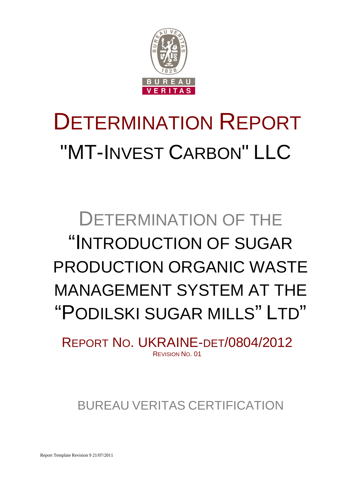

# DETERMINATION REPORT "MT-INVEST CARBON" LLC

## DETERMINATION OF THE "INTRODUCTION OF SUGAR PRODUCTION ORGANIC WASTE MANAGEMENT SYSTEM AT THE "PODILSKI SUGAR MILLS" LTD"

REPORT NO. UKRAINE-DET/0804/2012 REVISION NO. 01

BUREAU VERITAS CERTIFICATION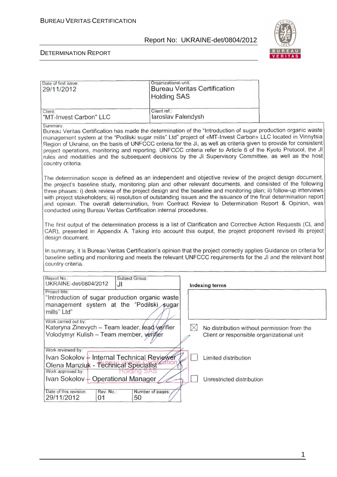

 $\overline{1}$ 

| Date of first issue:<br>29/11/2012                                                                                                                                                                                                                                                                                                                                                                                                                                                                                                                                                                                                              | Organizational unit:<br><b>Bureau Veritas Certification</b><br><b>Holding SAS</b>                       |  |  |
|-------------------------------------------------------------------------------------------------------------------------------------------------------------------------------------------------------------------------------------------------------------------------------------------------------------------------------------------------------------------------------------------------------------------------------------------------------------------------------------------------------------------------------------------------------------------------------------------------------------------------------------------------|---------------------------------------------------------------------------------------------------------|--|--|
| Client:<br>"MT-Invest Carbon" LLC                                                                                                                                                                                                                                                                                                                                                                                                                                                                                                                                                                                                               | Client ref.:<br>laroslav Falendysh                                                                      |  |  |
| Summary:<br>Bureau Veritas Certification has made the determination of the "Introduction of sugar production organic waste<br>management system at the "Podilski sugar mills" Ltd" project of «MT-Invest Carbon» LLC located in Vinnytsia<br>Region of Ukraine, on the basis of UNFCCC criteria for the JI, as well as criteria given to provide for consistent<br>project operations, monitoring and reporting. UNFCCC criteria refer to Article 6 of the Kyoto Protocol, the JI<br>rules and modalities and the subsequent decisions by the JI Supervisory Committee, as well as the host<br>country criteria.                                |                                                                                                         |  |  |
| The determination scope is defined as an independent and objective review of the project design document,<br>the project's baseline study, monitoring plan and other relevant documents, and consisted of the following<br>three phases: i) desk review of the project design and the baseline and monitoring plan; ii) follow-up interviews<br>with project stakeholders; iii) resolution of outstanding issues and the issuance of the final determination report<br>and opinion. The overall determination, from Contract Review to Determination Report & Opinion, was<br>conducted using Bureau Veritas Certification internal procedures. |                                                                                                         |  |  |
| The first output of the determination process is a list of Clarification and Corrective Action Requests (CL and<br>CAR), presented in Appendix A. Taking into account this output, the project proponent revised its project<br>design document.                                                                                                                                                                                                                                                                                                                                                                                                |                                                                                                         |  |  |
| In summary, it is Bureau Veritas Certification's opinion that the project correctly applies Guidance on criteria for<br>baseline setting and monitoring and meets the relevant UNFCCC requirements for the JI and the relevant host<br>country criteria.                                                                                                                                                                                                                                                                                                                                                                                        |                                                                                                         |  |  |
| Report No.:<br>Subject Group:<br>UKRAINE-det/0804/2012<br>JI                                                                                                                                                                                                                                                                                                                                                                                                                                                                                                                                                                                    | <b>Indexing terms</b>                                                                                   |  |  |
| Project title:<br>"Introduction of sugar production organic waste<br>management system at the "Podilski sugar<br>mills" Ltd"                                                                                                                                                                                                                                                                                                                                                                                                                                                                                                                    |                                                                                                         |  |  |
| Work carried out by:<br>Kateryna Zinevych - Team leader, lead verifier<br>Volodymyr Kulish - Team member, verjfjér                                                                                                                                                                                                                                                                                                                                                                                                                                                                                                                              | $\boxtimes$<br>No distribution without permission from the<br>Client or responsible organizational unit |  |  |
| Work reviewed by:<br>Ivan Sokolov + Internal Technical Reviewer<br>Olena Manziuk - Technical Specialist                                                                                                                                                                                                                                                                                                                                                                                                                                                                                                                                         | Limited distribution                                                                                    |  |  |
| Work approved by:<br>Holding SAS<br>Ivan Sokolov - Operational Manager<br>Unrestricted distribution                                                                                                                                                                                                                                                                                                                                                                                                                                                                                                                                             |                                                                                                         |  |  |
| Date of this revision:<br>Rev. No.:<br>29/11/2012<br>50<br>01                                                                                                                                                                                                                                                                                                                                                                                                                                                                                                                                                                                   | Number of pages:                                                                                        |  |  |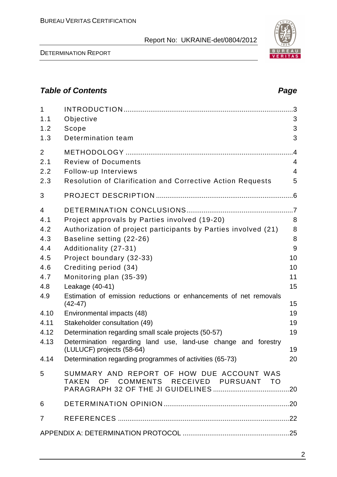DETERMINATION REPORT

| 1.2 Scope                |   |
|--------------------------|---|
| 1.3 Determination team   | 3 |
|                          |   |
| 2.1 Review of Documents  |   |
| 2.2 Follow-up Interviews |   |

1 INTRODUCTION ......................................................................................... 3 1.1 Objective 3

2.3 Resolution of Clarification and Corrective Action Requests 5

| 3              |                                                                |                 |
|----------------|----------------------------------------------------------------|-----------------|
| $\overline{4}$ |                                                                |                 |
| 4.1            | Project approvals by Parties involved (19-20)                  | 8               |
| 4.2            | Authorization of project participants by Parties involved (21) | 8               |
| 4.3            | Baseline setting (22-26)                                       | 8               |
| 4.4            | Additionality (27-31)                                          | 9               |
| 4.5            | Project boundary (32-33)                                       | 10              |
| 4.6            | Crediting period (34)                                          | 10 <sup>°</sup> |
| $\overline{A}$ | $M$ anitaring plan $(DF, \Omega)$                              | $\overline{A}$  |

## 4.7 Monitoring plan (35-39) 11 4.8 Leakage (40-41) 15 4.9 Estimation of emission reductions or enhancements of net removals  $(42-47)$  15 4.10 Environmental impacts (48) 19 4.11 Stakeholder consultation (49) 19 4.12 Determination regarding small scale projects (50-57) 19 4.13 Determination regarding land use, land-use change and forestry (LULUCF) projects (58-64) 19 4.14 Determination regarding programmes of activities (65-73) 20 5 SUMMARY AND REPORT OF HOW DUE ACCOUNT WAS TAKEN OF COMMENTS RECEIVED PURSUANT TO PARAGRAPH 32 OF THE JI GUIDELINES ........................................ 20 6 DETERMINATION OPINION .................................................................. 20 7 REFERENCES .......................................................................................... 22

APPENDIX A: DETERMINATION PROTOCOL ........................................................ 25



## **Table of Contents Page 2016**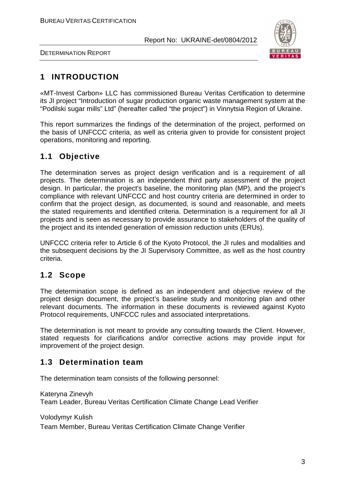

DETERMINATION REPORT

## **1 INTRODUCTION**

«MT-Invest Carbon» LLC has commissioned Bureau Veritas Certification to determine its JI project "Introduction of sugar production organic waste management system at the "Podilski sugar mills" Ltd" (hereafter called "the project") in Vinnytsia Region of Ukraine.

This report summarizes the findings of the determination of the project, performed on the basis of UNFCCC criteria, as well as criteria given to provide for consistent project operations, monitoring and reporting.

## **1.1 Objective**

The determination serves as project design verification and is a requirement of all projects. The determination is an independent third party assessment of the project design. In particular, the project's baseline, the monitoring plan (MP), and the project's compliance with relevant UNFCCC and host country criteria are determined in order to confirm that the project design, as documented, is sound and reasonable, and meets the stated requirements and identified criteria. Determination is a requirement for all JI projects and is seen as necessary to provide assurance to stakeholders of the quality of the project and its intended generation of emission reduction units (ERUs).

UNFCCC criteria refer to Article 6 of the Kyoto Protocol, the JI rules and modalities and the subsequent decisions by the JI Supervisory Committee, as well as the host country criteria.

## **1.2 Scope**

The determination scope is defined as an independent and objective review of the project design document, the project's baseline study and monitoring plan and other relevant documents. The information in these documents is reviewed against Kyoto Protocol requirements, UNFCCC rules and associated interpretations.

The determination is not meant to provide any consulting towards the Client. However, stated requests for clarifications and/or corrective actions may provide input for improvement of the project design.

## **1.3 Determination team**

The determination team consists of the following personnel:

Kateryna Zinevyh Team Leader, Bureau Veritas Certification Climate Change Lead Verifier

Volodymyr Kulish

Team Member, Bureau Veritas Certification Climate Change Verifier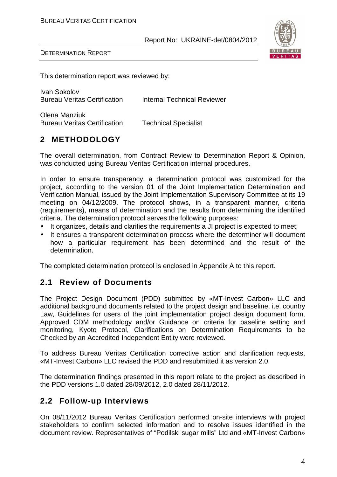

DETERMINATION REPORT

This determination report was reviewed by:

Ivan Sokolov Bureau Veritas Certification Internal Technical Reviewer

Olena Manziuk Bureau Veritas Certification Technical Specialist

## **2 METHODOLOGY**

The overall determination, from Contract Review to Determination Report & Opinion, was conducted using Bureau Veritas Certification internal procedures.

In order to ensure transparency, a determination protocol was customized for the project, according to the version 01 of the Joint Implementation Determination and Verification Manual, issued by the Joint Implementation Supervisory Committee at its 19 meeting on 04/12/2009. The protocol shows, in a transparent manner, criteria (requirements), means of determination and the results from determining the identified criteria. The determination protocol serves the following purposes:

- It organizes, details and clarifies the requirements a JI project is expected to meet;
- It ensures a transparent determination process where the determiner will document how a particular requirement has been determined and the result of the determination.

The completed determination protocol is enclosed in Appendix A to this report.

## **2.1 Review of Documents**

The Project Design Document (PDD) submitted by «MT-Invest Carbon» LLC and additional background documents related to the project design and baseline, i.e. country Law, Guidelines for users of the joint implementation project design document form, Approved CDM methodology and/or Guidance on criteria for baseline setting and monitoring, Kyoto Protocol, Clarifications on Determination Requirements to be Checked by an Accredited Independent Entity were reviewed.

To address Bureau Veritas Certification corrective action and clarification requests, «MT-Invest Carbon» LLC revised the PDD and resubmitted it as version 2.0.

The determination findings presented in this report relate to the project as described in the PDD versions 1.0 dated 28/09/2012, 2.0 dated 28/11/2012.

#### **2.2 Follow-up Interviews**

On 08/11/2012 Bureau Veritas Certification performed on-site interviews with project stakeholders to confirm selected information and to resolve issues identified in the document review. Representatives of "Podilski sugar mills" Ltd and «MT-Invest Carbon»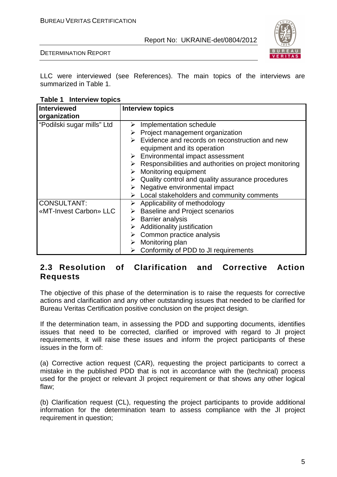

DETERMINATION REPORT

LLC were interviewed (see References). The main topics of the interviews are summarized in Table 1.

| Table 1 Interview topics |
|--------------------------|
|--------------------------|

| Interviewed<br>organization | <b>Interview topics</b>                                         |
|-----------------------------|-----------------------------------------------------------------|
| "Podilski sugar mills" Ltd  | Implementation schedule<br>➤                                    |
|                             |                                                                 |
|                             | $\triangleright$ Project management organization                |
|                             | $\triangleright$ Evidence and records on reconstruction and new |
|                             | equipment and its operation                                     |
|                             | $\triangleright$ Environmental impact assessment                |
|                             | Responsibilities and authorities on project monitoring          |
|                             | Monitoring equipment<br>➤                                       |
|                             | Quality control and quality assurance procedures                |
|                             | Negative environmental impact                                   |
|                             | Local stakeholders and community comments                       |
| <b>CONSULTANT:</b>          | $\triangleright$ Applicability of methodology                   |
| «MT-Invest Carbon» LLC      | <b>Baseline and Project scenarios</b><br>➤                      |
|                             | <b>Barrier analysis</b><br>➤                                    |
|                             | Additionality justification                                     |
|                             | Common practice analysis                                        |
|                             | $\triangleright$ Monitoring plan                                |
|                             | Conformity of PDD to JI requirements                            |

## **2.3 Resolution of Clarification and Corrective Action Requests**

The objective of this phase of the determination is to raise the requests for corrective actions and clarification and any other outstanding issues that needed to be clarified for Bureau Veritas Certification positive conclusion on the project design.

If the determination team, in assessing the PDD and supporting documents, identifies issues that need to be corrected, clarified or improved with regard to JI project requirements, it will raise these issues and inform the project participants of these issues in the form of:

(a) Corrective action request (CAR), requesting the project participants to correct a mistake in the published PDD that is not in accordance with the (technical) process used for the project or relevant JI project requirement or that shows any other logical flaw;

(b) Clarification request (CL), requesting the project participants to provide additional information for the determination team to assess compliance with the JI project requirement in question;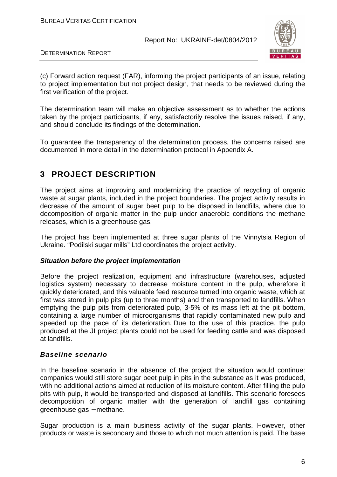

DETERMINATION REPORT

(c) Forward action request (FAR), informing the project participants of an issue, relating to project implementation but not project design, that needs to be reviewed during the first verification of the project.

The determination team will make an objective assessment as to whether the actions taken by the project participants, if any, satisfactorily resolve the issues raised, if any, and should conclude its findings of the determination.

To guarantee the transparency of the determination process, the concerns raised are documented in more detail in the determination protocol in Appendix A.

## **3 PROJECT DESCRIPTION**

The project aims at improving and modernizing the practice of recycling of organic waste at sugar plants, included in the project boundaries. The project activity results in decrease of the amount of sugar beet pulp to be disposed in landfills, where due to decomposition of organic matter in the pulp under anaerobic conditions the methane releases, which is a greenhouse gas.

The project has been implemented at three sugar plants of the Vinnytsia Region of Ukraine. "Podilski sugar mills" Ltd coordinates the project activity.

#### **Situation before the project implementation**

Before the project realization, equipment and infrastructure (warehouses, adjusted logistics system) necessary to decrease moisture content in the pulp, wherefore it quickly deteriorated, and this valuable feed resource turned into organic waste, which at first was stored in pulp pits (up to three months) and then transported to landfills. When emptying the pulp pits from deteriorated pulp, 3-5% of its mass left at the pit bottom, containing a large number of microorganisms that rapidly contaminated new pulp and speeded up the pace of its deterioration. Due to the use of this practice, the pulp produced at the JI project plants could not be used for feeding cattle and was disposed at landfills.

#### **Baseline scenario**

In the baseline scenario in the absence of the project the situation would continue: companies would still store sugar beet pulp in pits in the substance as it was produced, with no additional actions aimed at reduction of its moisture content. After filling the pulp pits with pulp, it would be transported and disposed at landfills. This scenario foresees decomposition of organic matter with the generation of landfill gas containing greenhouse gas – methane.

Sugar production is a main business activity of the sugar plants. However, other products or waste is secondary and those to which not much attention is paid. The base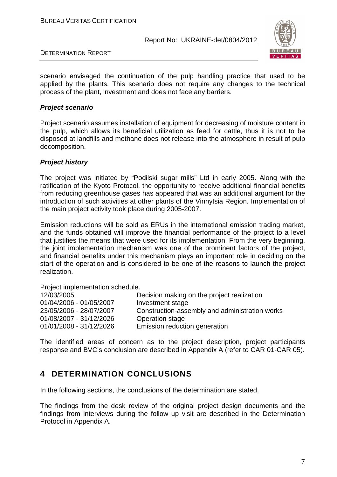

DETERMINATION REPORT

scenario envisaged the continuation of the pulp handling practice that used to be applied by the plants. This scenario does not require any changes to the technical process of the plant, investment and does not face any barriers.

#### **Project scenario**

Project scenario assumes installation of equipment for decreasing of moisture content in the pulp, which allows its beneficial utilization as feed for cattle, thus it is not to be disposed at landfills and methane does not release into the atmosphere in result of pulp decomposition.

#### **Project history**

The project was initiated by "Podilski sugar mills" Ltd in early 2005. Along with the ratification of the Kyoto Protocol, the opportunity to receive additional financial benefits from reducing greenhouse gases has appeared that was an additional argument for the introduction of such activities at other plants of the Vinnytsia Region. Implementation of the main project activity took place during 2005-2007.

Emission reductions will be sold as ERUs in the international emission trading market, and the funds obtained will improve the financial performance of the project to a level that justifies the means that were used for its implementation. From the very beginning, the joint implementation mechanism was one of the prominent factors of the project, and financial benefits under this mechanism plays an important role in deciding on the start of the operation and is considered to be one of the reasons to launch the project realization.

Project implementation schedule.

| 12/03/2005              | Decision making on the project realization     |
|-------------------------|------------------------------------------------|
| 01/04/2006 - 01/05/2007 | Investment stage                               |
| 23/05/2006 - 28/07/2007 | Construction-assembly and administration works |
| 01/08/2007 - 31/12/2026 | Operation stage                                |
| 01/01/2008 - 31/12/2026 | Emission reduction generation                  |

The identified areas of concern as to the project description, project participants response and BVC's conclusion are described in Appendix A (refer to CAR 01-CAR 05).

## **4 DETERMINATION CONCLUSIONS**

In the following sections, the conclusions of the determination are stated.

The findings from the desk review of the original project design documents and the findings from interviews during the follow up visit are described in the Determination Protocol in Appendix A.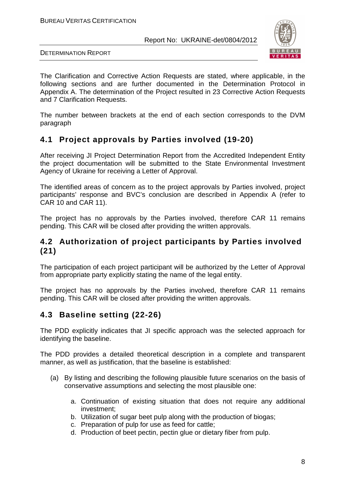

DETERMINATION REPORT

The Clarification and Corrective Action Requests are stated, where applicable, in the following sections and are further documented in the Determination Protocol in Appendix A. The determination of the Project resulted in 23 Corrective Action Requests and 7 Clarification Requests.

The number between brackets at the end of each section corresponds to the DVM paragraph

## **4.1 Project approvals by Parties involved (19-20)**

After receiving JI Project Determination Report from the Accredited Independent Entity the project documentation will be submitted to the State Environmental Investment Agency of Ukraine for receiving a Letter of Approval.

The identified areas of concern as to the project approvals by Parties involved, project participants' response and BVC's conclusion are described in Appendix A (refer to CAR 10 and CAR 11).

The project has no approvals by the Parties involved, therefore CAR 11 remains pending. This CAR will be closed after providing the written approvals.

## **4.2 Authorization of project participants by Parties involved (21)**

The participation of each project participant will be authorized by the Letter of Approval from appropriate party explicitly stating the name of the legal entity.

The project has no approvals by the Parties involved, therefore CAR 11 remains pending. This CAR will be closed after providing the written approvals.

## **4.3 Baseline setting (22-26)**

The PDD explicitly indicates that JI specific approach was the selected approach for identifying the baseline.

The PDD provides a detailed theoretical description in a complete and transparent manner, as well as justification, that the baseline is established:

- (a) By listing and describing the following plausible future scenarios on the basis of conservative assumptions and selecting the most plausible one:
	- a. Continuation of existing situation that does not require any additional investment;
	- b. Utilization of sugar beet pulp along with the production of biogas;
	- c. Preparation of pulp for use as feed for cattle;
	- d. Production of beet pectin, pectin glue or dietary fiber from pulp.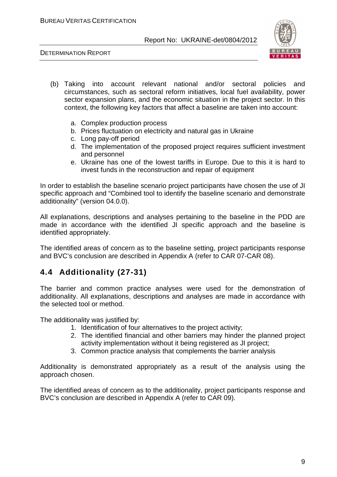DETERMINATION REPORT



- (b) Taking into account relevant national and/or sectoral policies and circumstances, such as sectoral reform initiatives, local fuel availability, power sector expansion plans, and the economic situation in the project sector. In this context, the following key factors that affect a baseline are taken into account:
	- a. Complex production process
	- b. Prices fluctuation on electricity and natural gas in Ukraine
	- c. Long pay-off period
	- d. The implementation of the proposed project requires sufficient investment and personnel
	- e. Ukraine has one of the lowest tariffs in Europe. Due to this it is hard to invest funds in the reconstruction and repair of equipment

In order to establish the baseline scenario project participants have chosen the use of JI specific approach and "Combined tool to identify the baseline scenario and demonstrate additionality" (version 04.0.0).

All explanations, descriptions and analyses pertaining to the baseline in the PDD are made in accordance with the identified JI specific approach and the baseline is identified appropriately.

The identified areas of concern as to the baseline setting, project participants response and BVC's conclusion are described in Appendix A (refer to CAR 07-CAR 08).

## **4.4 Additionality (27-31)**

The barrier and common practice analyses were used for the demonstration of additionality. All explanations, descriptions and analyses are made in accordance with the selected tool or method.

The additionality was justified by:

- 1. Identification of four alternatives to the project activity;
- 2. The identified financial and other barriers may hinder the planned project activity implementation without it being registered as JI project;
- 3. Common practice analysis that complements the barrier analysis

Additionality is demonstrated appropriately as a result of the analysis using the approach chosen.

The identified areas of concern as to the additionality, project participants response and BVC's conclusion are described in Appendix A (refer to CAR 09).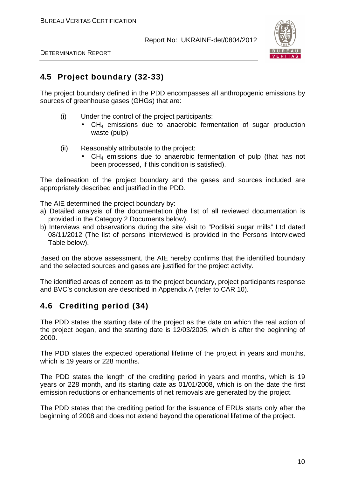

DETERMINATION REPORT

## **4.5 Project boundary (32-33)**

The project boundary defined in the PDD encompasses all anthropogenic emissions by sources of greenhouse gases (GHGs) that are:

- (i) Under the control of the project participants:
	- CH<sub>4</sub> emissions due to anaerobic fermentation of sugar production waste (pulp)
- (ii) Reasonably attributable to the project:
	- CH<sub>4</sub> emissions due to anaerobic fermentation of pulp (that has not been processed, if this condition is satisfied).

The delineation of the project boundary and the gases and sources included are appropriately described and justified in the PDD.

The AIE determined the project boundary by:

- a) Detailed analysis of the documentation (the list of all reviewed documentation is provided in the Category 2 Documents below).
- b) Interviews and observations during the site visit to "Podilski sugar mills" Ltd dated 08/11/2012 (The list of persons interviewed is provided in the Persons Interviewed Table below).

Based on the above assessment, the AIE hereby confirms that the identified boundary and the selected sources and gases are justified for the project activity.

The identified areas of concern as to the project boundary, project participants response and BVC's conclusion are described in Appendix A (refer to CAR 10).

## **4.6 Crediting period (34)**

The PDD states the starting date of the project as the date on which the real action of the project began, and the starting date is 12/03/2005, which is after the beginning of 2000.

The PDD states the expected operational lifetime of the project in years and months, which is 19 years or 228 months.

The PDD states the length of the crediting period in years and months, which is 19 years or 228 month, and its starting date as 01/01/2008, which is on the date the first emission reductions or enhancements of net removals are generated by the project.

The PDD states that the crediting period for the issuance of ERUs starts only after the beginning of 2008 and does not extend beyond the operational lifetime of the project.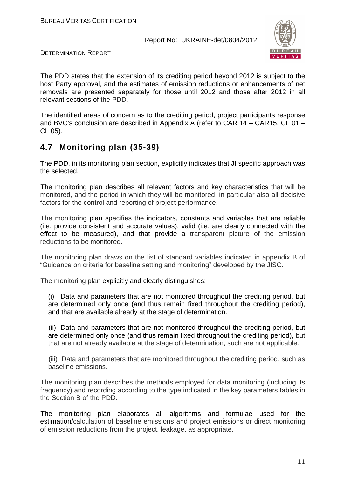

DETERMINATION REPORT

The PDD states that the extension of its crediting period beyond 2012 is subject to the host Party approval, and the estimates of emission reductions or enhancements of net removals are presented separately for those until 2012 and those after 2012 in all relevant sections of the PDD.

The identified areas of concern as to the crediting period, project participants response and BVC's conclusion are described in Appendix A (refer to CAR 14 – CAR15, CL 01 – CL 05).

## **4.7 Monitoring plan (35-39)**

The PDD, in its monitoring plan section, explicitly indicates that JI specific approach was the selected.

The monitoring plan describes all relevant factors and key characteristics that will be monitored, and the period in which they will be monitored, in particular also all decisive factors for the control and reporting of project performance.

The monitoring plan specifies the indicators, constants and variables that are reliable (i.e. provide consistent and accurate values), valid (i.e. are clearly connected with the effect to be measured), and that provide a transparent picture of the emission reductions to be monitored.

The monitoring plan draws on the list of standard variables indicated in appendix B of "Guidance on criteria for baseline setting and monitoring" developed by the JISC.

The monitoring plan explicitly and clearly distinguishes:

(i) Data and parameters that are not monitored throughout the crediting period, but are determined only once (and thus remain fixed throughout the crediting period), and that are available already at the stage of determination.

(ii) Data and parameters that are not monitored throughout the crediting period, but are determined only once (and thus remain fixed throughout the crediting period), but that are not already available at the stage of determination, such are not applicable.

(iii) Data and parameters that are monitored throughout the crediting period, such as baseline emissions.

The monitoring plan describes the methods employed for data monitoring (including its frequency) and recording according to the type indicated in the key parameters tables in the Section B of the PDD.

The monitoring plan elaborates all algorithms and formulae used for the estimation/calculation of baseline emissions and project emissions or direct monitoring of emission reductions from the project, leakage, as appropriate.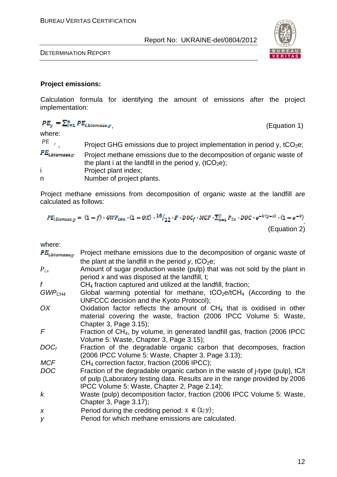

DETERMINATION REPORT

#### **Project emissions:**

Calculation formula for identifying the amount of emissions after the project implementation:

$$
PE_y = \sum_{i=1}^{n} PE_{i,biomass,y}
$$
 (Equation 1)  
where:  

$$
PE_{y}
$$
 Project GHG emissions due to project implementation in period y, tCO<sub>2</sub>e;  

$$
PE_{i,btomass,y}
$$
 Project methane emissions due to the decomposition of organic waste of  
the plant i at the landfill in the period y, (tCO<sub>2</sub>e);  
Project plant index;

n Number of project plants.

Project methane emissions from decomposition of organic waste at the landfill are calculated as follows:

 $PE_{i,blomass, y} = (1-f) \cdot GWP_{CH4} \cdot (1-0X) \cdot \frac{16}{12} \cdot F \cdot DOC_f \cdot MCF \cdot \sum_{x=1}^{y} P_{i,x} \cdot DOC \cdot e^{-k \cdot (y-x)} \cdot (1-e^{-k})$ (Equation 2)

where:

**The Second** 

| $PE_{i,biomass,y}$ | Project methane emissions due to the decomposition of organic waste of                   |
|--------------------|------------------------------------------------------------------------------------------|
|                    | the plant at the landfill in the period y, $tCO2e$ ;                                     |
| $P_{i,x}$          | Amount of sugar production waste (pulp) that was not sold by the plant in                |
|                    | period x and was disposed at the landfill, t;                                            |
| f                  | $CH4$ fraction captured and utilized at the landfill, fraction;                          |
| GWP <sub>CH4</sub> | Global warming potential for methane, $tCO_2e/tCH_4$ (According to the                   |
|                    | UNFCCC decision and the Kyoto Protocol);                                                 |
| OX                 | Oxidation factor reflects the amount of $CH4$ that is oxidised in other                  |
|                    | material covering the waste, fraction (2006 IPCC Volume 5: Waste,                        |
|                    | Chapter 3, Page 3.15);                                                                   |
| F                  | Fraction of CH <sub>4</sub> , by volume, in generated landfill gas, fraction (2006 IPCC) |
|                    | Volume 5: Waste, Chapter 3, Page 3.15);                                                  |
| $DOC_f$            | Fraction of the degradable organic carbon that decomposes, fraction                      |
|                    | (2006 IPCC Volume 5: Waste, Chapter 3, Page 3.13);                                       |
| <b>MCF</b>         | $CH4$ correction factor, fraction (2006 IPCC);                                           |
| <b>DOC</b>         | Fraction of the degradable organic carbon in the waste of j-type (pulp), tC/t            |
|                    | of pulp (Laboratory testing data. Results are in the range provided by 2006              |
|                    | IPCC Volume 5: Waste, Chapter 2, Page 2.14);                                             |
| k                  | Waste (pulp) decomposition factor, fraction (2006 IPCC Volume 5: Waste,                  |
|                    | Chapter 3, Page 3.17);                                                                   |
| $\boldsymbol{X}$   | Period during the crediting period: $x \in (1, y)$ ;                                     |
|                    |                                                                                          |
| У                  | Period for which methane emissions are calculated.                                       |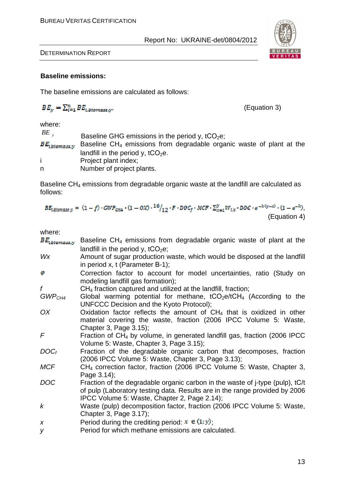

DETERMINATION REPORT

#### **Baseline emissions:**

The baseline emissions are calculated as follows:

$$
BE_y = \sum_{i=1}^{n} BE_{i,biomass,y},
$$

, (Equation 3)

where:

 $BE$ <sub>y</sub> Baseline GHG emissions in the period y,  $tCO<sub>2</sub>e$ ;  $BE_{\text{b}iomass, y}$  Baseline CH<sub>4</sub> emissions from degradable organic waste of plant at the landfill in the period y,  $tCO<sub>2</sub>e$ . i Project plant index; n Number of project plants.

Baseline  $CH_4$  emissions from degradable organic waste at the landfill are calculated as follows:

$$
BE_{i, \text{biomass}, y} = (1-f) \cdot GWP_{\text{CH4}} \cdot (1 - 0X) \cdot \frac{16}{12} \cdot F \cdot DOC_f \cdot MCF \cdot \sum_{x=1}^{y} W_{i,x} \cdot DOC \cdot e^{-k(y-x)} \cdot (1 - e^{-k}),
$$
\n(Equation 4)

| where |  |
|-------|--|
|-------|--|

| $BE_{\text{b}ionass,y}$ | Baseline $CH_4$ emissions from degradable organic waste of plant at the                |
|-------------------------|----------------------------------------------------------------------------------------|
|                         | landfill in the period y, $tCO2e$ ;                                                    |
| Wx                      | Amount of sugar production waste, which would be disposed at the landfill              |
|                         | in period x, $t$ (Parameter B-1);                                                      |
| φ                       | Correction factor to account for model uncertainties, ratio (Study on                  |
|                         | modeling landfill gas formation);                                                      |
| $\mathbf{f}$            | $CH4$ fraction captured and utilized at the landfill, fraction;                        |
| GWP <sub>CH4</sub>      | Global warming potential for methane, $tCO_2e/tCH_4$ (According to the                 |
|                         | UNFCCC Decision and the Kyoto Protocol);                                               |
| OX                      | Oxidation factor reflects the amount of $CH4$ that is oxidized in other                |
|                         | material covering the waste, fraction (2006 IPCC Volume 5: Waste,                      |
|                         | Chapter 3, Page 3.15);                                                                 |
| F                       | Fraction of CH <sub>4</sub> by volume, in generated landfill gas, fraction (2006 IPCC) |
|                         | Volume 5: Waste, Chapter 3, Page 3.15);                                                |
| $DOC_f$                 | Fraction of the degradable organic carbon that decomposes, fraction                    |
|                         | (2006 IPCC Volume 5: Waste, Chapter 3, Page 3.13);                                     |
| <b>MCF</b>              | CH <sub>4</sub> correction factor, fraction (2006 IPCC Volume 5: Waste, Chapter 3,     |
|                         | Page 3.14);                                                                            |
| <b>DOC</b>              | Fraction of the degradable organic carbon in the waste of j-type (pulp), tC/t          |
|                         | of pulp (Laboratory testing data. Results are in the range provided by 2006            |
|                         | IPCC Volume 5: Waste, Chapter 2, Page 2.14);                                           |
| $\boldsymbol{k}$        | Waste (pulp) decomposition factor, fraction (2006 IPCC Volume 5: Waste,                |
|                         | Chapter 3, Page 3.17);                                                                 |
| $\boldsymbol{X}$        | Period during the crediting period: $x \in (1, y)$ ;                                   |
| У                       | Period for which methane emissions are calculated.                                     |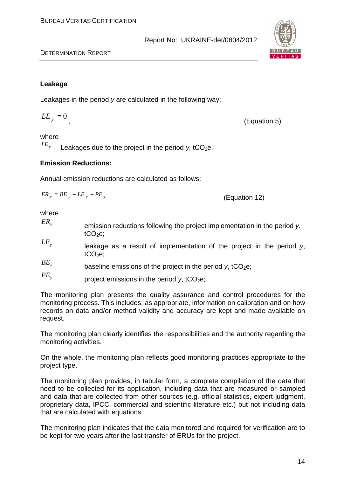#### BUREAU VERITAS CERTIFICATION

DETERMINATION REPORT

#### **Leakage**

Leakages in the period y are calculated in the following way:

 $LE_y = 0$ , (Equation 5)

Report No: UKRAINE-det/0804/2012

#### where

 $LE$ <sub>y</sub> Leakages due to the project in the period  $v$ , tCO<sub>2</sub>e.

#### **Emission Reductions:**

Annual emission reductions are calculated as follows:

$$
ER_y = BE_y - LE_y - PE_y
$$
 (Equation 12)

where

- $ER_{y}$  emission reductions following the project implementation in the period y,  $tCO<sub>2</sub>e;$
- $LE$ <sub>y</sub> leakage as a result of implementation of the project in the period y,  $tCO<sub>2</sub>e;$
- $BE<sub>v</sub>$ baseline emissions of the project in the period  $v$ , tCO<sub>2</sub>e;
- $PE<sub>y</sub>$ project emissions in the period  $y$ , tCO<sub>2</sub>e;

The monitoring plan presents the quality assurance and control procedures for the monitoring process. This includes, as appropriate, information on calibration and on how records on data and/or method validity and accuracy are kept and made available on request.

The monitoring plan clearly identifies the responsibilities and the authority regarding the monitoring activities.

On the whole, the monitoring plan reflects good monitoring practices appropriate to the project type.

The monitoring plan provides, in tabular form, a complete compilation of the data that need to be collected for its application, including data that are measured or sampled and data that are collected from other sources (e.g. official statistics, expert judgment, proprietary data, IPCC, commercial and scientific literature etc.) but not including data that are calculated with equations.

The monitoring plan indicates that the data monitored and required for verification are to be kept for two years after the last transfer of ERUs for the project.

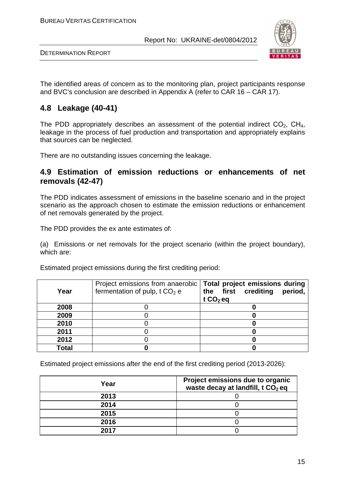

DETERMINATION REPORT

The identified areas of concern as to the monitoring plan, project participants response and BVC's conclusion are described in Appendix A (refer to CAR 16 – CAR 17).

## **4.8 Leakage (40-41)**

The PDD appropriately describes an assessment of the potential indirect  $CO<sub>2</sub>$ , CH<sub>4</sub>, leakage in the process of fuel production and transportation and appropriately explains that sources can be neglected.

There are no outstanding issues concerning the leakage.

#### **4.9 Estimation of emission reductions or enhancements of net removals (42-47)**

The PDD indicates assessment of emissions in the baseline scenario and in the project scenario as the approach chosen to estimate the emission reductions or enhancement of net removals generated by the project.

The PDD provides the ex ante estimates of:

(a) Emissions or net removals for the project scenario (within the project boundary), which are:

| Year  | fermentation of pulp, t $CO2$ e | Project emissions from anaerobic   Total project emissions during<br>the first crediting<br>period,<br>$tCO2$ eq |
|-------|---------------------------------|------------------------------------------------------------------------------------------------------------------|
| 2008  |                                 |                                                                                                                  |
| 2009  |                                 |                                                                                                                  |
| 2010  |                                 |                                                                                                                  |
| 2011  |                                 |                                                                                                                  |
| 2012  |                                 |                                                                                                                  |
| Total |                                 |                                                                                                                  |

Estimated project emissions during the first crediting period:

Estimated project emissions after the end of the first crediting period (2013-2026):

| Year | Project emissions due to organic<br>waste decay at landfill, t CO <sub>2</sub> eq |
|------|-----------------------------------------------------------------------------------|
| 2013 |                                                                                   |
| 2014 |                                                                                   |
| 2015 |                                                                                   |
| 2016 |                                                                                   |
| 2017 |                                                                                   |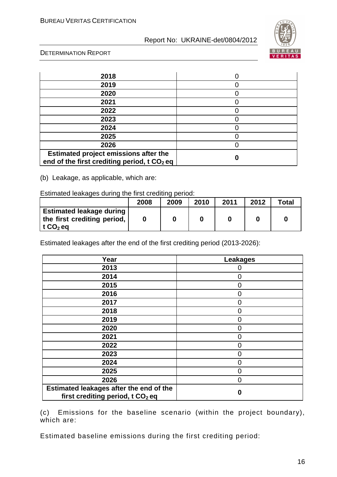

DETERMINATION REPORT

| 2018                                                                                             |  |
|--------------------------------------------------------------------------------------------------|--|
| 2019                                                                                             |  |
| 2020                                                                                             |  |
| 2021                                                                                             |  |
| 2022                                                                                             |  |
| 2023                                                                                             |  |
| 2024                                                                                             |  |
| 2025                                                                                             |  |
| 2026                                                                                             |  |
| Estimated project emissions after the<br>end of the first crediting period, t CO <sub>2</sub> eq |  |

(b) Leakage, as applicable, which are:

Estimated leakages during the first crediting period:

|                                                                                            | 2008 | 2009 | 2010 | 2011 | 2012 | $\tau$ otal |
|--------------------------------------------------------------------------------------------|------|------|------|------|------|-------------|
| <b>Estimated leakage during !</b><br>the first crediting period,<br>∣ t CO <sub>2</sub> eq |      |      |      |      |      |             |

Estimated leakages after the end of the first crediting period (2013-2026):

| Year                                                                                    | <b>Leakages</b> |
|-----------------------------------------------------------------------------------------|-----------------|
| 2013                                                                                    | $\mathcal{L}$   |
| 2014                                                                                    | $\overline{0}$  |
| 2015                                                                                    | 0               |
| 2016                                                                                    | $\overline{0}$  |
| 2017                                                                                    | $\overline{0}$  |
| 2018                                                                                    | $\Omega$        |
| 2019                                                                                    | $\Omega$        |
| 2020                                                                                    | 0               |
| 2021                                                                                    | 0               |
| 2022                                                                                    | 0               |
| 2023                                                                                    | 0               |
| 2024                                                                                    | $\Omega$        |
| 2025                                                                                    | $\Omega$        |
| 2026                                                                                    | 0               |
| Estimated leakages after the end of the<br>first crediting period, t CO <sub>2</sub> eq | 0               |

(c) Emissions for the baseline scenario (within the project boundary), which are:

Estimated baseline emissions during the first crediting period: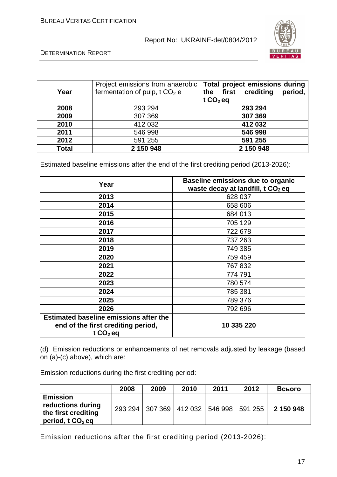

DETERMINATION REPORT

| Year         | Project emissions from anaerobic<br>fermentation of pulp, $t CO2 e$ | Total project emissions during<br>first crediting<br>period,<br>the<br>t $CO2$ eq |
|--------------|---------------------------------------------------------------------|-----------------------------------------------------------------------------------|
| 2008         | 293 294                                                             | 293 294                                                                           |
| 2009         | 307 369                                                             | 307 369                                                                           |
| 2010         | 412 032                                                             | 412 032                                                                           |
| 2011         | 546 998                                                             | 546 998                                                                           |
| 2012         | 591 255                                                             | 591 255                                                                           |
| <b>Total</b> | 2 150 948                                                           | 2 150 948                                                                         |

Estimated baseline emissions after the end of the first crediting period (2013-2026):

| Year                                                                                              | Baseline emissions due to organic<br>waste decay at landfill, t CO <sub>2</sub> eq |
|---------------------------------------------------------------------------------------------------|------------------------------------------------------------------------------------|
| 2013                                                                                              | 628 037                                                                            |
| 2014                                                                                              | 658 606                                                                            |
| 2015                                                                                              | 684 013                                                                            |
| 2016                                                                                              | 705 129                                                                            |
| 2017                                                                                              | 722 678                                                                            |
| 2018                                                                                              | 737 263                                                                            |
| 2019                                                                                              | 749 385                                                                            |
| 2020                                                                                              | 759 459                                                                            |
| 2021                                                                                              | 767 832                                                                            |
| 2022                                                                                              | 774 791                                                                            |
| 2023                                                                                              | 780 574                                                                            |
| 2024                                                                                              | 785 381                                                                            |
| 2025                                                                                              | 789 376                                                                            |
| 2026                                                                                              | 792 696                                                                            |
| <b>Estimated baseline emissions after the</b><br>end of the first crediting period,<br>t $CO2$ eq | 10 335 220                                                                         |

(d) Emission reductions or enhancements of net removals adjusted by leakage (based on (a)-(c) above), which are:

Emission reductions during the first crediting period:

|                                                                                   | 2008 | 2009                                            | 2010 | 2011 | 2012 | Всього    |
|-----------------------------------------------------------------------------------|------|-------------------------------------------------|------|------|------|-----------|
| <b>Emission</b><br>reductions during<br>the first crediting<br>period, t $CO2$ eq |      | 293 294   307 369   412 032   546 998   591 255 |      |      |      | 2 150 948 |

Emission reductions after the first crediting period (2013-2026):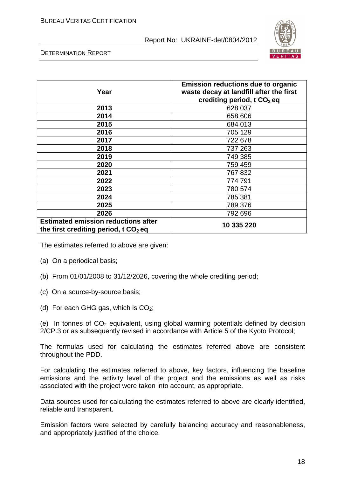

DETERMINATION REPORT

| Year                                                                                            | <b>Emission reductions due to organic</b><br>waste decay at landfill after the first<br>crediting period, t CO <sub>2</sub> eq |
|-------------------------------------------------------------------------------------------------|--------------------------------------------------------------------------------------------------------------------------------|
| 2013                                                                                            | 628 037                                                                                                                        |
| 2014                                                                                            | 658 606                                                                                                                        |
| 2015                                                                                            | 684 013                                                                                                                        |
| 2016                                                                                            | 705 129                                                                                                                        |
| 2017                                                                                            | 722 678                                                                                                                        |
| 2018                                                                                            | 737 263                                                                                                                        |
| 2019                                                                                            | 749 385                                                                                                                        |
| 2020                                                                                            | 759 459                                                                                                                        |
| 2021                                                                                            | 767 832                                                                                                                        |
| 2022                                                                                            | 774 791                                                                                                                        |
| 2023                                                                                            | 780 574                                                                                                                        |
| 2024                                                                                            | 785 381                                                                                                                        |
| 2025                                                                                            | 789 376                                                                                                                        |
| 2026                                                                                            | 792 696                                                                                                                        |
| <b>Estimated emission reductions after</b><br>the first crediting period, $t \, \text{CO}_2$ eq | 10 335 220                                                                                                                     |

The estimates referred to above are given:

- (a) On a periodical basis;
- (b) From 01/01/2008 to 31/12/2026, covering the whole crediting period;
- (c) On a source-by-source basis;
- (d) For each GHG gas, which is  $CO<sub>2</sub>$ ;

(e) In tonnes of  $CO<sub>2</sub>$  equivalent, using global warming potentials defined by decision 2/CP.3 or as subsequently revised in accordance with Article 5 of the Kyoto Protocol;

The formulas used for calculating the estimates referred above are consistent throughout the PDD.

For calculating the estimates referred to above, key factors, influencing the baseline emissions and the activity level of the project and the emissions as well as risks associated with the project were taken into account, as appropriate.

Data sources used for calculating the estimates referred to above are clearly identified, reliable and transparent.

Emission factors were selected by carefully balancing accuracy and reasonableness, and appropriately justified of the choice.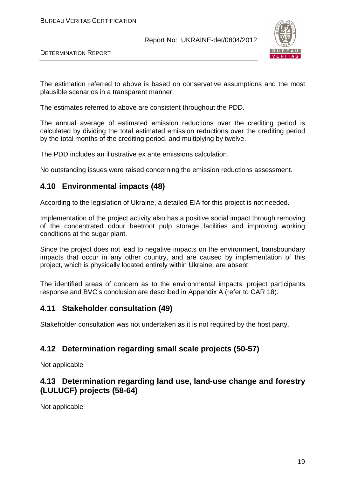

DETERMINATION REPORT

The estimation referred to above is based on conservative assumptions and the most plausible scenarios in a transparent manner.

The estimates referred to above are consistent throughout the PDD.

The annual average of estimated emission reductions over the crediting period is calculated by dividing the total estimated emission reductions over the crediting period by the total months of the crediting period, and multiplying by twelve.

The PDD includes an illustrative ex ante emissions calculation.

No outstanding issues were raised concerning the emission reductions assessment.

#### **4.10 Environmental impacts (48)**

According to the legislation of Ukraine, a detailed EIA for this project is not needed.

Implementation of the project activity also has a positive social impact through removing of the concentrated odour beetroot pulp storage facilities and improving working conditions at the sugar plant.

Since the project does not lead to negative impacts on the environment, transboundary impacts that occur in any other country, and are caused by implementation of this project, which is physically located entirely within Ukraine, are absent.

The identified areas of concern as to the environmental impacts, project participants response and BVC's conclusion are described in Appendix A (refer to CAR 18).

#### **4.11 Stakeholder consultation (49)**

Stakeholder consultation was not undertaken as it is not required by the host party.

#### **4.12 Determination regarding small scale projects (50-57)**

Not applicable

## **4.13 Determination regarding land use, land-use change and forestry (LULUCF) projects (58-64)**

Not applicable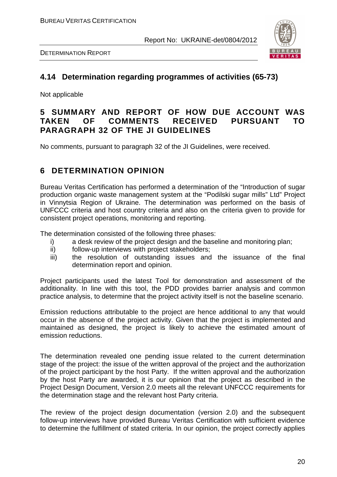

DETERMINATION REPORT

## **4.14 Determination regarding programmes of activities (65-73)**

Not applicable

## **5 SUMMARY AND REPORT OF HOW DUE ACCOUNT WAS TAKEN OF COMMENTS RECEIVED PURSUANT TO PARAGRAPH 32 OF THE JI GUIDELINES**

No comments, pursuant to paragraph 32 of the JI Guidelines, were received.

## **6 DETERMINATION OPINION**

Bureau Veritas Certification has performed a determination of the "Introduction of sugar production organic waste management system at the "Podilski sugar mills" Ltd" Project in Vinnytsia Region of Ukraine. The determination was performed on the basis of UNFCCC criteria and host country criteria and also on the criteria given to provide for consistent project operations, monitoring and reporting.

The determination consisted of the following three phases:

- i) a desk review of the project design and the baseline and monitoring plan;
- ii) follow-up interviews with project stakeholders;
- iii) the resolution of outstanding issues and the issuance of the final determination report and opinion.

Project participants used the latest Tool for demonstration and assessment of the additionality. In line with this tool, the PDD provides barrier analysis and common practice analysis, to determine that the project activity itself is not the baseline scenario.

Emission reductions attributable to the project are hence additional to any that would occur in the absence of the project activity. Given that the project is implemented and maintained as designed, the project is likely to achieve the estimated amount of emission reductions.

The determination revealed one pending issue related to the current determination stage of the project: the issue of the written approval of the project and the authorization of the project participant by the host Party. If the written approval and the authorization by the host Party are awarded, it is our opinion that the project as described in the Project Design Document, Version 2.0 meets all the relevant UNFCCC requirements for the determination stage and the relevant host Party criteria.

The review of the project design documentation (version 2.0) and the subsequent follow-up interviews have provided Bureau Veritas Certification with sufficient evidence to determine the fulfillment of stated criteria. In our opinion, the project correctly applies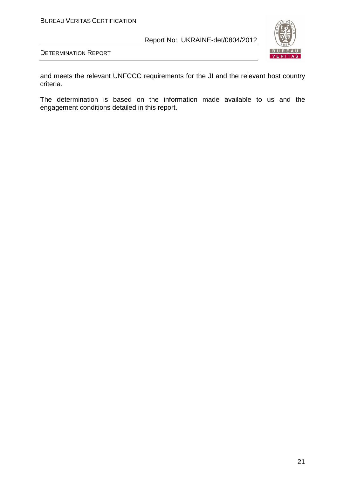

DETERMINATION REPORT

and meets the relevant UNFCCC requirements for the JI and the relevant host country criteria.

The determination is based on the information made available to us and the engagement conditions detailed in this report.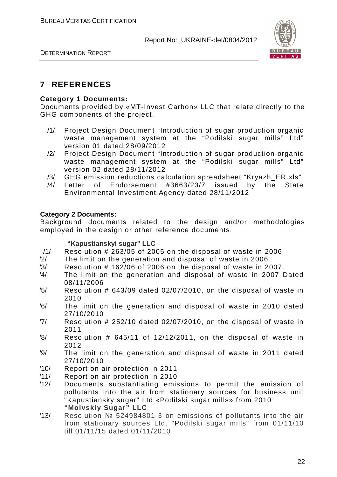



## **7 REFERENCES**

#### **Category 1 Documents:**

Documents provided by «MT-Invest Carbon» LLC that relate directly to the GHG components of the project.

- /1/ Project Design Document "Introduction of sugar production organic waste management system at the "Podilski sugar mills" Ltd" version 01 dated 28/09/2012
- /2/ Project Design Document "Introduction of sugar production organic waste management system at the "Podilski sugar mills" Ltd" version 02 dated 28/11/2012
- /3/ GHG emission reductions calculation spreadsheet "Kryazh\_ER.xls"
- /4/ Letter of Endorsement #3663/23/7 issued by the State Environmental Investment Agency dated 28/11/2012

#### **Category 2 Documents:**

Background documents related to the design and/or methodologies employed in the design or other reference documents.

#### **"Kapustianskyi sugar" LLC**

- /1/ Resolution # 263/05 of 2005 on the disposal of waste in 2006
- /2/ The limit on the generation and disposal of waste in 2006
- $\frac{1}{3}$  Resolution # 162/06 of 2006 on the disposal of waste in 2007.
- /4/ The limit on the generation and disposal of waste in 2007 Dated 08/11/2006
- $\frac{1}{5}$  Resolution # 643/09 dated 02/07/2010, on the disposal of waste in 2010
- /6/ The limit on the generation and disposal of waste in 2010 dated 27/10/2010
- $\frac{7}{10}$  Resolution # 252/10 dated 02/07/2010, on the disposal of waste in 2011
- $\frac{1}{8}$  Resolution # 645/11 of 12/12/2011, on the disposal of waste in 2012
- /9/ The limit on the generation and disposal of waste in 2011 dated 27/10/2010
- /10/ Report on air protection in 2011
- /11/ Report on air protection in 2010
- /12/ Documents substantiating emissions to permit the emission of pollutants into the air from stationary sources for business unit "Kapustiansky sugar" Ltd «Podilski sugar mills» from 2010 **"Moivskiy Sugar" LLC**
- /13/ Resolution № 524984801-3 on emissions of pollutants into the air from stationary sources Ltd. "Podilski sugar mills" from 01/11/10 till 01/11/15 dated 01/11/2010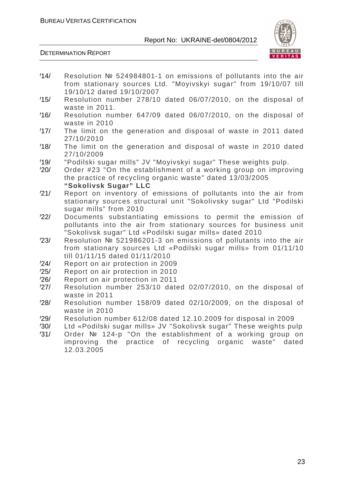

- /14/ Resolution № 524984801-1 on emissions of pollutants into the air from stationary sources Ltd. "Moyivskyi sugar" from 19/10/07 till 19/10/12 dated 19/10/2007
- /15/ Resolution number 278/10 dated 06/07/2010, on the disposal of waste in 2011.
- /16/ Resolution number 647/09 dated 06/07/2010, on the disposal of waste in 2010
- /17/ The limit on the generation and disposal of waste in 2011 dated 27/10/2010
- /18/ The limit on the generation and disposal of waste in 2010 dated 27/10/2009
- /19/ "Podilski sugar mills" JV "Moyivskyi sugar" These weights pulp.
- /20/ Order #23 "On the establishment of a working group on improving the practice of recycling organic waste" dated 13/03/2005 **"Sokolivsk Sugar" LLC**
- /21/ Report on inventory of emissions of pollutants into the air from stationary sources structural unit "Sokolivsky sugar" Ltd "Podilski sugar mills" from 2010
- /22/ Documents substantiating emissions to permit the emission of pollutants into the air from stationary sources for business unit "Sokolivsk sugar" Ltd «Podilski sugar mills» dated 2010
- /23/ Resolution № 521986201-3 on emissions of pollutants into the air from stationary sources Ltd «Podilski sugar mills» from 01/11/10 till 01/11/15 dated 01/11/2010
- /24/ Report on air protection in 2009
- /25/ Report on air protection in 2010
- Report on air protection in 2011
- /27/ Resolution number 253/10 dated 02/07/2010, on the disposal of waste in 2011
- /28/ Resolution number 158/09 dated 02/10/2009, on the disposal of waste in 2010
- /29/ Resolution number 612/08 dated 12.10.2009 for disposal in 2009
- /30/ Ltd «Podilski sugar mills» JV "Sokolivsk sugar" These weights pulp
- /31/ Order № 124-p "On the establishment of a working group on improving the practice of recycling organic waste" dated 12.03.2005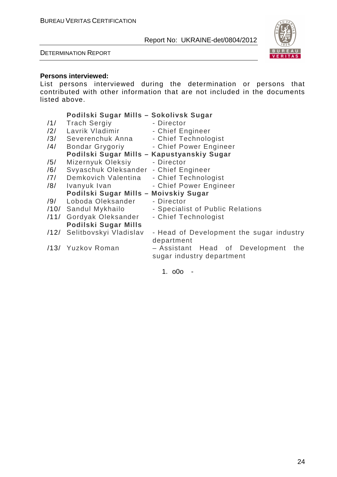#### DETERMINATION REPORT



#### **Persons interviewed:**

List persons interviewed during the determination or persons that contributed with other information that are not included in the documents listed above.

#### **Podilski Sugar Mills – Sokolivsk Sugar** 11/ Trach Sergiy - Director<br>12/ Lavrik Vladimir - Chief En /2/ Lavrik Vladimir - Chief Engineer /3/ Severenchuk Anna - Chief Technologist /4/ Bondar Grygoriy - Chief Power Engineer **Podilski Sugar Mills – Kapustyanskiy Sugar** /5/ Mizernyuk Oleksiy - Director /6/ Svyaschuk Oleksander - Chief Engineer /7/ Demkovich Valentina - Chief Technologist /8/ Ivanyuk Ivan - Chief Power Engineer **Podilski Sugar Mills – Moivskiy Sugar** /9/ Loboda Oleksander - Director /10/ Sandul Mykhailo - Specialist of Public Relations /11/ Gordyak Oleksander - Chief Technologist

**Podilski Sugar Mills** /12/ Selitbovskyi Vladislav - Head of Development the sugar industry department /13/ Yuzkov Roman – Assistant Head of Development the sugar industry department

1. o0o -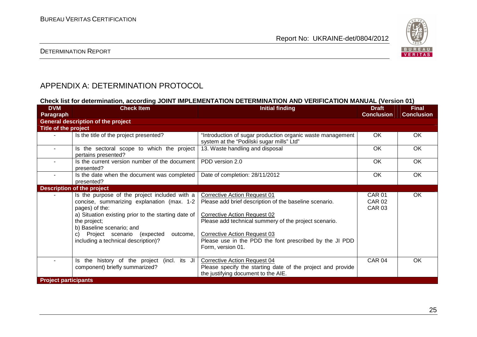

#### DETERMINATION REPORT

## APPENDIX A: DETERMINATION PROTOCOL

#### **Check list for determination, according JOINT IMPLEMENTATION DETERMINATION AND VERIFICATION MANUAL (Version 01)**

| <b>DVM</b><br><b>Paragraph</b> | <b>Check Item</b>                                                                                                                                                                                                                                                                                     | <b>Initial finding</b>                                                                                                                                                                                                                                                                                               | <b>Draft</b><br><b>Conclusion</b>               | <b>Final</b><br><b>Conclusion</b> |  |  |  |
|--------------------------------|-------------------------------------------------------------------------------------------------------------------------------------------------------------------------------------------------------------------------------------------------------------------------------------------------------|----------------------------------------------------------------------------------------------------------------------------------------------------------------------------------------------------------------------------------------------------------------------------------------------------------------------|-------------------------------------------------|-----------------------------------|--|--|--|
|                                | <b>General description of the project</b>                                                                                                                                                                                                                                                             |                                                                                                                                                                                                                                                                                                                      |                                                 |                                   |  |  |  |
| <b>Title of the project</b>    |                                                                                                                                                                                                                                                                                                       |                                                                                                                                                                                                                                                                                                                      |                                                 |                                   |  |  |  |
|                                | Is the title of the project presented?                                                                                                                                                                                                                                                                | "Introduction of sugar production organic waste management<br>system at the "Podilski sugar mills" Ltd"                                                                                                                                                                                                              | <b>OK</b>                                       | OK                                |  |  |  |
| $\blacksquare$                 | Is the sectoral scope to which the project<br>pertains presented?                                                                                                                                                                                                                                     | 13. Waste handling and disposal                                                                                                                                                                                                                                                                                      | OK                                              | OK                                |  |  |  |
| $\sim$                         | Is the current version number of the document<br>presented?                                                                                                                                                                                                                                           | PDD version 2.0                                                                                                                                                                                                                                                                                                      | OK                                              | OK                                |  |  |  |
| $\sim$                         | Is the date when the document was completed<br>presented?                                                                                                                                                                                                                                             | Date of completion: 28/11/2012                                                                                                                                                                                                                                                                                       | OK                                              | OK                                |  |  |  |
|                                | <b>Description of the project</b>                                                                                                                                                                                                                                                                     |                                                                                                                                                                                                                                                                                                                      |                                                 |                                   |  |  |  |
|                                | Is the purpose of the project included with a<br>concise, summarizing explanation (max. 1-2<br>pages) of the:<br>a) Situation existing prior to the starting date of<br>the project;<br>b) Baseline scenario; and<br>c) Project scenario (expected<br>outcome,<br>including a technical description)? | <b>Corrective Action Request 01</b><br>Please add brief description of the baseline scenario.<br><b>Corrective Action Request 02</b><br>Please add technical summery of the project scenario.<br><b>Corrective Action Request 03</b><br>Please use in the PDD the font prescribed by the JI PDD<br>Form, version 01. | <b>CAR 01</b><br><b>CAR 02</b><br><b>CAR 03</b> | OK                                |  |  |  |
|                                | Is the history of the project (incl. its JI<br>component) briefly summarized?                                                                                                                                                                                                                         | <b>Corrective Action Request 04</b><br>Please specify the starting date of the project and provide<br>the justifying document to the AIE.                                                                                                                                                                            | <b>CAR 04</b>                                   | OK                                |  |  |  |
| <b>Project participants</b>    |                                                                                                                                                                                                                                                                                                       |                                                                                                                                                                                                                                                                                                                      |                                                 |                                   |  |  |  |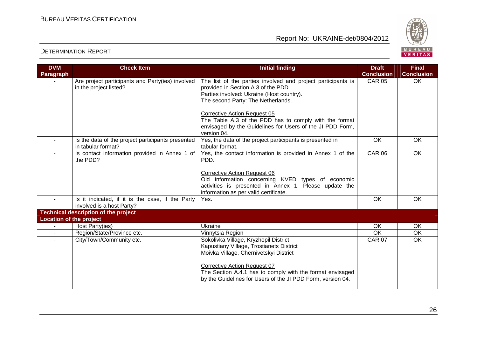

| <b>DVM</b>                     | <b>Check Item</b>                                                             | <b>Initial finding</b>                                                                                                                                                                                                                                                                         | <b>Draft</b>      | <b>Final</b>      |
|--------------------------------|-------------------------------------------------------------------------------|------------------------------------------------------------------------------------------------------------------------------------------------------------------------------------------------------------------------------------------------------------------------------------------------|-------------------|-------------------|
| Paragraph                      |                                                                               |                                                                                                                                                                                                                                                                                                | <b>Conclusion</b> | <b>Conclusion</b> |
|                                | Are project participants and Party(ies) involved<br>in the project listed?    | The list of the parties involved and project participants is<br>provided in Section A.3 of the PDD.<br>Parties involved: Ukraine (Host country).<br>The second Party: The Netherlands.                                                                                                         | <b>CAR 05</b>     | <b>OK</b>         |
|                                |                                                                               | <b>Corrective Action Request 05</b><br>The Table A.3 of the PDD has to comply with the format<br>envisaged by the Guidelines for Users of the JI PDD Form,<br>version 04.                                                                                                                      |                   |                   |
| $\blacksquare$                 | Is the data of the project participants presented<br>in tabular format?       | Yes, the data of the project participants is presented in<br>tabular format.                                                                                                                                                                                                                   | <b>OK</b>         | <b>OK</b>         |
|                                | Is contact information provided in Annex 1 of<br>the PDD?                     | Yes, the contact information is provided in Annex 1 of the<br>PDD.                                                                                                                                                                                                                             | <b>CAR 06</b>     | <b>OK</b>         |
|                                |                                                                               | <b>Corrective Action Request 06</b><br>Old information concerning KVED types of economic<br>activities is presented in Annex 1. Please update the<br>information as per valid certificate.                                                                                                     |                   |                   |
|                                | Is it indicated, if it is the case, if the Party<br>involved is a host Party? | Yes.                                                                                                                                                                                                                                                                                           | OK                | OK                |
|                                | <b>Technical description of the project</b>                                   |                                                                                                                                                                                                                                                                                                |                   |                   |
| <b>Location of the project</b> |                                                                               |                                                                                                                                                                                                                                                                                                |                   |                   |
| $\blacksquare$                 | Host Party(ies)                                                               | Ukraine                                                                                                                                                                                                                                                                                        | <b>OK</b>         | OK                |
| $\blacksquare$                 | Region/State/Province etc.                                                    | Vinnytsia Region                                                                                                                                                                                                                                                                               | OK                | OK                |
| $\sim$                         | City/Town/Community etc.                                                      | Sokolivka Village, Kryzhopil District<br>Kapustiany Village, Trostianets District<br>Moivka Village, Chernivetskyi District<br><b>Corrective Action Request 07</b><br>The Section A.4.1 has to comply with the format envisaged<br>by the Guidelines for Users of the JI PDD Form, version 04. | <b>CAR 07</b>     | <b>OK</b>         |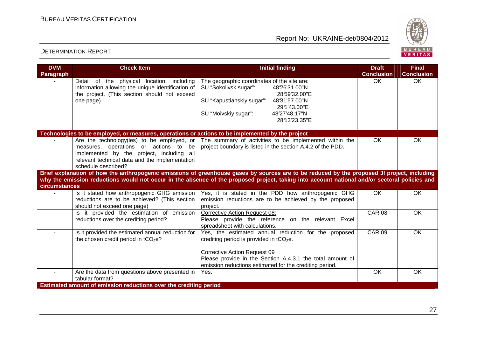

| <b>DVM</b>       | <b>Check Item</b>                                                                                                                                                                                         | <b>Initial finding</b>                                                                                                                                                                                                          | <b>Draft</b>      | <b>Final</b>      |
|------------------|-----------------------------------------------------------------------------------------------------------------------------------------------------------------------------------------------------------|---------------------------------------------------------------------------------------------------------------------------------------------------------------------------------------------------------------------------------|-------------------|-------------------|
| <b>Paragraph</b> |                                                                                                                                                                                                           |                                                                                                                                                                                                                                 | <b>Conclusion</b> | <b>Conclusion</b> |
|                  | Detail of the physical location, including<br>information allowing the unique identification of<br>the project. (This section should not exceed<br>one page)                                              | The geographic coordinates of the site are:<br>SU "Sokolivsk sugar":<br>48°26'31.00"N<br>28'59'32.00"E<br>SU "Kapustianskiy sugar":<br>48°31'57.00"N<br>29° '43.00" E<br>SU "Moivskiy sugar":<br>48'27'48.17"N<br>28°13'23.35"E | OK.               | OK.               |
|                  | Technologies to be employed, or measures, operations or actions to be implemented by the project                                                                                                          |                                                                                                                                                                                                                                 |                   |                   |
|                  | Are the technology(ies) to be employed, or<br>measures, operations or actions to be<br>implemented by the project, including all<br>relevant technical data and the implementation<br>schedule described? | The summary of activities to be implemented within the<br>project boundary is listed in the section A.4.2 of the PDD.                                                                                                           | OK                | OK                |
|                  |                                                                                                                                                                                                           | Brief explanation of how the anthropogenic emissions of greenhouse gases by sources are to be reduced by the proposed JI project, including                                                                                     |                   |                   |
|                  |                                                                                                                                                                                                           | why the emission reductions would not occur in the absence of the proposed project, taking into account national and/or sectoral policies and                                                                                   |                   |                   |
| circumstances    |                                                                                                                                                                                                           |                                                                                                                                                                                                                                 |                   |                   |
|                  | Is it stated how anthropogenic GHG emission<br>reductions are to be achieved? (This section<br>should not exceed one page)                                                                                | Yes, it is stated in the PDD how anthropogenic GHG<br>emission reductions are to be achieved by the proposed<br>project.                                                                                                        | <b>OK</b>         | <b>OK</b>         |
|                  | Is it provided the estimation of emission<br>reductions over the crediting period?                                                                                                                        | <b>Corrective Action Request 08:</b><br>Please provide the reference on the relevant Excel<br>spreadsheet with calculations.                                                                                                    | <b>CAR 08</b>     | <b>OK</b>         |
|                  | Is it provided the estimated annual reduction for<br>the chosen credit period in tCO <sub>2</sub> e?                                                                                                      | Yes, the estimated annual reduction for the proposed<br>crediting period is provided in $tCO2e$ .<br><b>Corrective Action Request 09</b>                                                                                        | <b>CAR 09</b>     | <b>OK</b>         |
|                  |                                                                                                                                                                                                           | Please provide in the Section A.4.3.1 the total amount of<br>emission reductions estimated for the crediting period.                                                                                                            |                   |                   |
|                  | Are the data from questions above presented in<br>tabular format?                                                                                                                                         | Yes.                                                                                                                                                                                                                            | OK                | <b>OK</b>         |
|                  | Estimated amount of emission reductions over the crediting period                                                                                                                                         |                                                                                                                                                                                                                                 |                   |                   |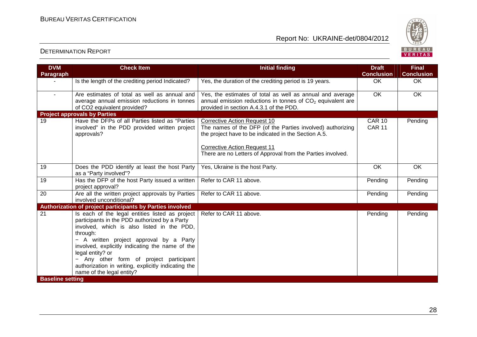

| <b>DVM</b>              | <b>Check Item</b>                                                                                                                                                                                                                                                                                                                                                                                           | <b>Initial finding</b>                                                                                                                                                                           | <b>Draft</b>                   | <b>Final</b>      |
|-------------------------|-------------------------------------------------------------------------------------------------------------------------------------------------------------------------------------------------------------------------------------------------------------------------------------------------------------------------------------------------------------------------------------------------------------|--------------------------------------------------------------------------------------------------------------------------------------------------------------------------------------------------|--------------------------------|-------------------|
| Paragraph               |                                                                                                                                                                                                                                                                                                                                                                                                             |                                                                                                                                                                                                  | <b>Conclusion</b>              | <b>Conclusion</b> |
|                         | Is the length of the crediting period Indicated?                                                                                                                                                                                                                                                                                                                                                            | Yes, the duration of the crediting period is 19 years.                                                                                                                                           | <b>OK</b>                      | OK                |
| $\sim$                  | Are estimates of total as well as annual and<br>average annual emission reductions in tonnes<br>of CO2 equivalent provided?                                                                                                                                                                                                                                                                                 | Yes, the estimates of total as well as annual and average<br>annual emission reductions in tonnes of $CO2$ equivalent are<br>provided in section A.4.3.1 of the PDD.                             | $\overline{OK}$                | <b>OK</b>         |
|                         | <b>Project approvals by Parties</b>                                                                                                                                                                                                                                                                                                                                                                         |                                                                                                                                                                                                  |                                |                   |
| 19                      | Have the DFPs of all Parties listed as "Parties<br>involved" in the PDD provided written project<br>approvals?                                                                                                                                                                                                                                                                                              | <b>Corrective Action Request 10</b><br>The names of the DFP (of the Parties involved) authorizing<br>the project have to be indicated in the Section A.5.<br><b>Corrective Action Request 11</b> | <b>CAR 10</b><br><b>CAR 11</b> | Pending           |
|                         |                                                                                                                                                                                                                                                                                                                                                                                                             | There are no Letters of Approval from the Parties involved.                                                                                                                                      |                                |                   |
| 19                      | Does the PDD identify at least the host Party<br>as a "Party involved"?                                                                                                                                                                                                                                                                                                                                     | Yes, Ukraine is the host Party.                                                                                                                                                                  | <b>OK</b>                      | <b>OK</b>         |
| 19                      | Has the DFP of the host Party issued a written<br>project approval?                                                                                                                                                                                                                                                                                                                                         | Refer to CAR 11 above.                                                                                                                                                                           | Pending                        | Pending           |
| 20                      | Are all the written project approvals by Parties<br>involved unconditional?                                                                                                                                                                                                                                                                                                                                 | Refer to CAR 11 above.                                                                                                                                                                           | Pending                        | Pending           |
|                         | Authorization of project participants by Parties involved                                                                                                                                                                                                                                                                                                                                                   |                                                                                                                                                                                                  |                                |                   |
| 21                      | Is each of the legal entities listed as project<br>participants in the PDD authorized by a Party<br>involved, which is also listed in the PDD,<br>through:<br>- A written project approval by a Party<br>involved, explicitly indicating the name of the<br>legal entity? or<br>- Any other form of project participant<br>authorization in writing, explicitly indicating the<br>name of the legal entity? | Refer to CAR 11 above.                                                                                                                                                                           | Pending                        | Pending           |
| <b>Baseline setting</b> |                                                                                                                                                                                                                                                                                                                                                                                                             |                                                                                                                                                                                                  |                                |                   |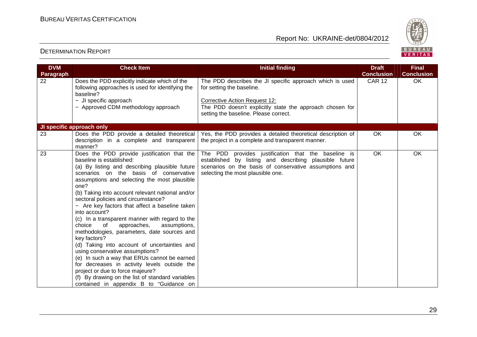

| <b>DVM</b>      | <b>Check Item</b>                                                                                                                                                                                                                                                                                                                                                                                                                                                                                                                                                                                                                                                                                                                                                                                                                                                               | <b>Initial finding</b>                                                                                                                                                                                                             | <b>Draft</b>                       | <b>Final</b>            |
|-----------------|---------------------------------------------------------------------------------------------------------------------------------------------------------------------------------------------------------------------------------------------------------------------------------------------------------------------------------------------------------------------------------------------------------------------------------------------------------------------------------------------------------------------------------------------------------------------------------------------------------------------------------------------------------------------------------------------------------------------------------------------------------------------------------------------------------------------------------------------------------------------------------|------------------------------------------------------------------------------------------------------------------------------------------------------------------------------------------------------------------------------------|------------------------------------|-------------------------|
| Paragraph<br>22 | Does the PDD explicitly indicate which of the<br>following approaches is used for identifying the<br>baseline?<br>- JI specific approach<br>- Approved CDM methodology approach                                                                                                                                                                                                                                                                                                                                                                                                                                                                                                                                                                                                                                                                                                 | The PDD describes the JI specific approach which is used<br>for setting the baseline.<br><b>Corrective Action Request 12:</b><br>The PDD doesn't explicitly state the approach chosen for<br>setting the baseline. Please correct. | <b>Conclusion</b><br><b>CAR 12</b> | <b>Conclusion</b><br>OK |
|                 | JI specific approach only                                                                                                                                                                                                                                                                                                                                                                                                                                                                                                                                                                                                                                                                                                                                                                                                                                                       |                                                                                                                                                                                                                                    |                                    |                         |
| 23              | Does the PDD provide a detailed theoretical<br>description in a complete and transparent<br>manner?                                                                                                                                                                                                                                                                                                                                                                                                                                                                                                                                                                                                                                                                                                                                                                             | Yes, the PDD provides a detailed theoretical description of<br>the project in a complete and transparent manner.                                                                                                                   | OK                                 | <b>OK</b>               |
| 23              | Does the PDD provide justification that the<br>baseline is established:<br>(a) By listing and describing plausible future<br>scenarios on the basis of conservative<br>assumptions and selecting the most plausible<br>one?<br>(b) Taking into account relevant national and/or<br>sectoral policies and circumstance?<br>- Are key factors that affect a baseline taken<br>into account?<br>(c) In a transparent manner with regard to the<br>choice<br>of<br>approaches,<br>assumptions,<br>methodologies, parameters, date sources and<br>key factors?<br>(d) Taking into account of uncertainties and<br>using conservative assumptions?<br>(e) In such a way that ERUs cannot be earned<br>for decreases in activity levels outside the<br>project or due to force majeure?<br>(f) By drawing on the list of standard variables<br>contained in appendix B to "Guidance on | The PDD provides justification that the baseline is<br>established by listing and describing plausible future<br>scenarios on the basis of conservative assumptions and<br>selecting the most plausible one.                       | <b>OK</b>                          | <b>OK</b>               |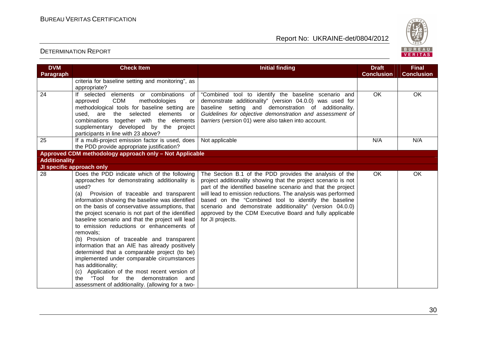

| <b>DVM</b>           | <b>Check Item</b>                                                                                                                                                                                                                                                                                                                                                                                                                                                                                                                                                                                                                                                                                                                                                                                          | <b>Initial finding</b>                                                                                                                                                                                                                                                                                                                                                                                                                                         | <b>Draft</b>      | <b>Final</b>      |
|----------------------|------------------------------------------------------------------------------------------------------------------------------------------------------------------------------------------------------------------------------------------------------------------------------------------------------------------------------------------------------------------------------------------------------------------------------------------------------------------------------------------------------------------------------------------------------------------------------------------------------------------------------------------------------------------------------------------------------------------------------------------------------------------------------------------------------------|----------------------------------------------------------------------------------------------------------------------------------------------------------------------------------------------------------------------------------------------------------------------------------------------------------------------------------------------------------------------------------------------------------------------------------------------------------------|-------------------|-------------------|
| Paragraph            |                                                                                                                                                                                                                                                                                                                                                                                                                                                                                                                                                                                                                                                                                                                                                                                                            |                                                                                                                                                                                                                                                                                                                                                                                                                                                                | <b>Conclusion</b> | <b>Conclusion</b> |
|                      | criteria for baseline setting and monitoring", as                                                                                                                                                                                                                                                                                                                                                                                                                                                                                                                                                                                                                                                                                                                                                          |                                                                                                                                                                                                                                                                                                                                                                                                                                                                |                   |                   |
|                      | appropriate?                                                                                                                                                                                                                                                                                                                                                                                                                                                                                                                                                                                                                                                                                                                                                                                               |                                                                                                                                                                                                                                                                                                                                                                                                                                                                |                   |                   |
| 24                   | If selected<br>elements or combinations<br>of                                                                                                                                                                                                                                                                                                                                                                                                                                                                                                                                                                                                                                                                                                                                                              | "Combined tool to identify the baseline scenario and                                                                                                                                                                                                                                                                                                                                                                                                           | OK                | OK                |
|                      | <b>CDM</b><br>methodologies<br>approved<br>or                                                                                                                                                                                                                                                                                                                                                                                                                                                                                                                                                                                                                                                                                                                                                              | demonstrate additionality" (version 04.0.0) was used for                                                                                                                                                                                                                                                                                                                                                                                                       |                   |                   |
|                      | methodological tools for baseline setting are                                                                                                                                                                                                                                                                                                                                                                                                                                                                                                                                                                                                                                                                                                                                                              | baseline setting and demonstration of additionality.                                                                                                                                                                                                                                                                                                                                                                                                           |                   |                   |
|                      | used, are the selected<br>elements<br>or                                                                                                                                                                                                                                                                                                                                                                                                                                                                                                                                                                                                                                                                                                                                                                   | Guidelines for objective demonstration and assessment of                                                                                                                                                                                                                                                                                                                                                                                                       |                   |                   |
|                      | combinations together with the elements                                                                                                                                                                                                                                                                                                                                                                                                                                                                                                                                                                                                                                                                                                                                                                    | barriers (version 01) were also taken into account.                                                                                                                                                                                                                                                                                                                                                                                                            |                   |                   |
|                      | supplementary developed by the project                                                                                                                                                                                                                                                                                                                                                                                                                                                                                                                                                                                                                                                                                                                                                                     |                                                                                                                                                                                                                                                                                                                                                                                                                                                                |                   |                   |
|                      | participants in line with 23 above?                                                                                                                                                                                                                                                                                                                                                                                                                                                                                                                                                                                                                                                                                                                                                                        |                                                                                                                                                                                                                                                                                                                                                                                                                                                                |                   |                   |
| 25                   | If a multi-project emission factor is used, does                                                                                                                                                                                                                                                                                                                                                                                                                                                                                                                                                                                                                                                                                                                                                           | Not applicable                                                                                                                                                                                                                                                                                                                                                                                                                                                 | N/A               | N/A               |
|                      | the PDD provide appropriate justification?                                                                                                                                                                                                                                                                                                                                                                                                                                                                                                                                                                                                                                                                                                                                                                 |                                                                                                                                                                                                                                                                                                                                                                                                                                                                |                   |                   |
|                      | Approved CDM methodology approach only - Not Applicable                                                                                                                                                                                                                                                                                                                                                                                                                                                                                                                                                                                                                                                                                                                                                    |                                                                                                                                                                                                                                                                                                                                                                                                                                                                |                   |                   |
| <b>Additionality</b> |                                                                                                                                                                                                                                                                                                                                                                                                                                                                                                                                                                                                                                                                                                                                                                                                            |                                                                                                                                                                                                                                                                                                                                                                                                                                                                |                   |                   |
|                      | JI specific approach only                                                                                                                                                                                                                                                                                                                                                                                                                                                                                                                                                                                                                                                                                                                                                                                  |                                                                                                                                                                                                                                                                                                                                                                                                                                                                |                   |                   |
| 28                   | Does the PDD indicate which of the following<br>approaches for demonstrating additionality is<br>used?<br>(a)<br>Provision of traceable and transparent<br>information showing the baseline was identified<br>on the basis of conservative assumptions, that<br>the project scenario is not part of the identified<br>baseline scenario and that the project will lead<br>to emission reductions or enhancements of<br>removals:<br>(b) Provision of traceable and transparent<br>information that an AIE has already positively<br>determined that a comparable project (to be)<br>implemented under comparable circumstances<br>has additionality;<br>(c) Application of the most recent version of<br>"Tool for the<br>demonstration<br>the<br>and<br>assessment of additionality. (allowing for a two- | The Section B.1 of the PDD provides the analysis of the<br>project additionality showing that the project scenario is not<br>part of the identified baseline scenario and that the project<br>will lead to emission reductions. The analysis was performed<br>based on the "Combined tool to identify the baseline<br>scenario and demonstrate additionality" (version 04.0.0)<br>approved by the CDM Executive Board and fully applicable<br>for JI projects. | OK                | OK                |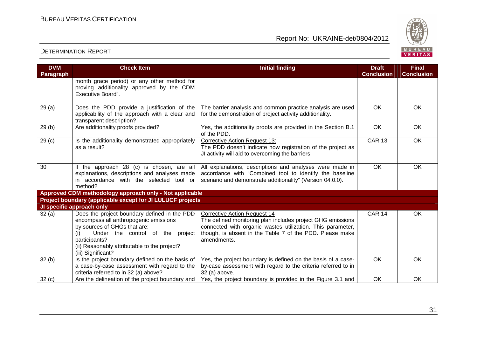

| <b>DVM</b><br>Paragraph | <b>Check Item</b>                                                                                                                                                                                                                                                                    | <b>Initial finding</b>                                                                                                                                                                                                                     | <b>Draft</b><br><b>Conclusion</b> | <b>Final</b><br><b>Conclusion</b> |
|-------------------------|--------------------------------------------------------------------------------------------------------------------------------------------------------------------------------------------------------------------------------------------------------------------------------------|--------------------------------------------------------------------------------------------------------------------------------------------------------------------------------------------------------------------------------------------|-----------------------------------|-----------------------------------|
|                         | month grace period) or any other method for<br>proving additionality approved by the CDM<br>Executive Board".                                                                                                                                                                        |                                                                                                                                                                                                                                            |                                   |                                   |
| 29 (a)                  | Does the PDD provide a justification of the<br>applicability of the approach with a clear and<br>transparent description?                                                                                                                                                            | The barrier analysis and common practice analysis are used<br>for the demonstration of project activity additionality.                                                                                                                     | <b>OK</b>                         | OK                                |
| 29 (b)                  | Are additionality proofs provided?                                                                                                                                                                                                                                                   | Yes, the additionality proofs are provided in the Section B.1<br>of the PDD.                                                                                                                                                               | <b>OK</b>                         | OK                                |
| 29 <sub>(c)</sub>       | Is the additionality demonstrated appropriately<br>as a result?                                                                                                                                                                                                                      | <b>Corrective Action Request 13:</b><br>The PDD doesn't indicate how registration of the project as<br>JI activity will aid to overcoming the barriers.                                                                                    | <b>CAR 13</b>                     | OK                                |
| 30                      | If the approach 28 (c) is chosen, are all<br>explanations, descriptions and analyses made<br>in accordance with the selected tool or<br>method?                                                                                                                                      | All explanations, descriptions and analyses were made in<br>accordance with "Combined tool to identify the baseline<br>scenario and demonstrate additionality" (Version 04.0.0).                                                           | <b>OK</b>                         | OK                                |
|                         | Approved CDM methodology approach only - Not applicable                                                                                                                                                                                                                              |                                                                                                                                                                                                                                            |                                   |                                   |
|                         | Project boundary (applicable except for JI LULUCF projects                                                                                                                                                                                                                           |                                                                                                                                                                                                                                            |                                   |                                   |
| 32(a)                   | JI specific approach only<br>Does the project boundary defined in the PDD<br>encompass all anthropogenic emissions<br>by sources of GHGs that are:<br>Under the control of the project<br>(i)<br>participants?<br>(ii) Reasonably attributable to the project?<br>(iii) Significant? | <b>Corrective Action Request 14</b><br>The defined monitoring plan includes project GHG emissions<br>connected with organic wastes utilization. This parameter,<br>though, is absent in the Table 7 of the PDD. Please make<br>amendments. | <b>CAR 14</b>                     | <b>OK</b>                         |
| 32(b)                   | Is the project boundary defined on the basis of<br>a case-by-case assessment with regard to the<br>criteria referred to in 32 (a) above?                                                                                                                                             | Yes, the project boundary is defined on the basis of a case-<br>by-case assessment with regard to the criteria referred to in<br>32 (a) above.                                                                                             | <b>OK</b>                         | OK                                |
| 32(c)                   | Are the delineation of the project boundary and                                                                                                                                                                                                                                      | Yes, the project boundary is provided in the Figure 3.1 and                                                                                                                                                                                | OK                                | <b>OK</b>                         |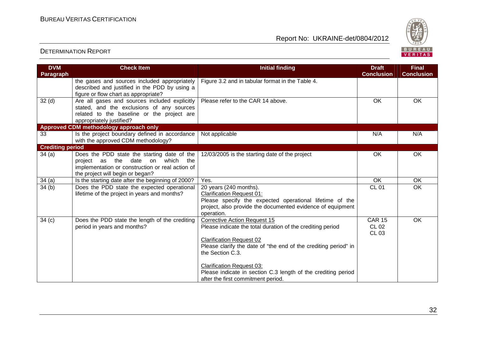

| <b>DVM</b><br><b>Paragraph</b> | <b>Check Item</b>                                                                                                                                                       | <b>Initial finding</b>                                                                                                                                                                                                                                          | <b>Draft</b><br><b>Conclusion</b>             | <b>Final</b><br><b>Conclusion</b> |
|--------------------------------|-------------------------------------------------------------------------------------------------------------------------------------------------------------------------|-----------------------------------------------------------------------------------------------------------------------------------------------------------------------------------------------------------------------------------------------------------------|-----------------------------------------------|-----------------------------------|
|                                | the gases and sources included appropriately<br>described and justified in the PDD by using a<br>figure or flow chart as appropriate?                                   | Figure 3.2 and in tabular format in the Table 4.                                                                                                                                                                                                                |                                               |                                   |
| 32 <sub>(d)</sub>              | Are all gases and sources included explicitly<br>stated, and the exclusions of any sources<br>related to the baseline or the project are<br>appropriately justified?    | Please refer to the CAR 14 above.                                                                                                                                                                                                                               | OK                                            | OK                                |
|                                | Approved CDM methodology approach only                                                                                                                                  |                                                                                                                                                                                                                                                                 |                                               |                                   |
| 33                             | Is the project boundary defined in accordance<br>with the approved CDM methodology?                                                                                     | Not applicable                                                                                                                                                                                                                                                  | N/A                                           | N/A                               |
| <b>Crediting period</b>        |                                                                                                                                                                         |                                                                                                                                                                                                                                                                 |                                               |                                   |
| 34(a)                          | Does the PDD state the starting date of the<br>project as the date on which the<br>implementation or construction or real action of<br>the project will begin or began? | 12/03/2005 is the starting date of the project                                                                                                                                                                                                                  | OK                                            | OK                                |
| 34(a)                          | Is the starting date after the beginning of 2000?                                                                                                                       | Yes.                                                                                                                                                                                                                                                            | OK                                            | OK                                |
| 34(b)                          | Does the PDD state the expected operational<br>lifetime of the project in years and months?                                                                             | 20 years (240 months).<br><b>Clarification Request 01:</b><br>Please specify the expected operational lifetime of the<br>project, also provide the documented evidence of equipment<br>operation.                                                               | <b>CL 01</b>                                  | <b>OK</b>                         |
| 34 <sub>(c)</sub>              | Does the PDD state the length of the crediting<br>period in years and months?                                                                                           | <b>Corrective Action Request 15</b><br>Please indicate the total duration of the crediting period<br><b>Clarification Request 02</b><br>Please clarify the date of "the end of the crediting period" in<br>the Section C.3.<br><b>Clarification Request 03:</b> | <b>CAR 15</b><br><b>CL 02</b><br><b>CL 03</b> | <b>OK</b>                         |
|                                |                                                                                                                                                                         | Please indicate in section C.3 length of the crediting period<br>after the first commitment period.                                                                                                                                                             |                                               |                                   |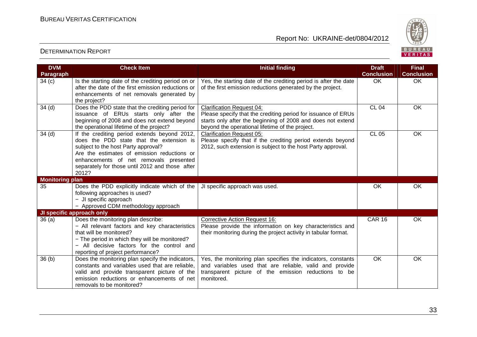

| <b>DVM</b>             | <b>Check Item</b>                                                                                                                                                                                                                                                                    | <b>Initial finding</b>                                                                                                                                                                                              | <b>Draft</b>      | <b>Final</b>      |
|------------------------|--------------------------------------------------------------------------------------------------------------------------------------------------------------------------------------------------------------------------------------------------------------------------------------|---------------------------------------------------------------------------------------------------------------------------------------------------------------------------------------------------------------------|-------------------|-------------------|
| Paragraph              |                                                                                                                                                                                                                                                                                      |                                                                                                                                                                                                                     | <b>Conclusion</b> | <b>Conclusion</b> |
| 34(c)                  | Is the starting date of the crediting period on or<br>after the date of the first emission reductions or<br>enhancements of net removals generated by<br>the project?                                                                                                                | Yes, the starting date of the crediting period is after the date<br>of the first emission reductions generated by the project.                                                                                      | OK                | <b>OK</b>         |
| 34 <sub>(d)</sub>      | Does the PDD state that the crediting period for<br>issuance of ERUs starts only after the<br>beginning of 2008 and does not extend beyond<br>the operational lifetime of the project?                                                                                               | <b>Clarification Request 04:</b><br>Please specify that the crediting period for issuance of ERUs<br>starts only after the beginning of 2008 and does not extend<br>beyond the operational lifetime of the project. | <b>CL 04</b>      | <b>OK</b>         |
| 34 <sub>(d)</sub>      | If the crediting period extends beyond 2012,<br>does the PDD state that the extension is<br>subject to the host Party approval?<br>Are the estimates of emission reductions or<br>enhancements of net removals presented<br>separately for those until 2012 and those after<br>2012? | <b>Clarification Request 05:</b><br>Please specify that if the crediting period extends beyond<br>2012, such extension is subject to the host Party approval.                                                       | <b>CL 05</b>      | OK                |
| <b>Monitoring plan</b> |                                                                                                                                                                                                                                                                                      |                                                                                                                                                                                                                     |                   |                   |
| 35                     | Does the PDD explicitly indicate which of the<br>following approaches is used?<br>- JI specific approach<br>- Approved CDM methodology approach                                                                                                                                      | JI specific approach was used.                                                                                                                                                                                      | OK                | OK                |
|                        | JI specific approach only                                                                                                                                                                                                                                                            |                                                                                                                                                                                                                     |                   |                   |
| 36(a)                  | Does the monitoring plan describe:<br>- All relevant factors and key characteristics<br>that will be monitored?<br>- The period in which they will be monitored?<br>- All decisive factors for the control and<br>reporting of project performance?                                  | <b>Corrective Action Request 16:</b><br>Please provide the information on key characteristics and<br>their monitoring during the project activity in tabular format.                                                | <b>CAR 16</b>     | OK                |
| 36(b)                  | Does the monitoring plan specify the indicators,<br>constants and variables used that are reliable.<br>valid and provide transparent picture of the<br>emission reductions or enhancements of net<br>removals to be monitored?                                                       | Yes, the monitoring plan specifies the indicators, constants<br>and variables used that are reliable, valid and provide<br>transparent picture of the emission reductions to be<br>monitored.                       | <b>OK</b>         | <b>OK</b>         |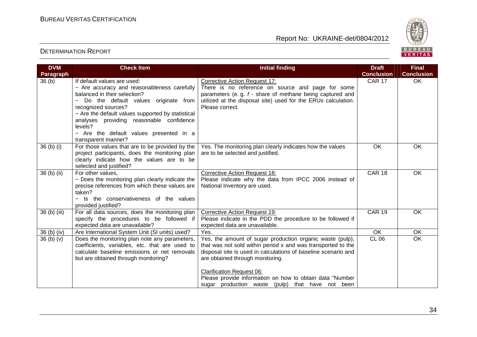

| <b>DVM</b><br><b>Paragraph</b>   | <b>Check Item</b>                                                          | <b>Initial finding</b>                                                                       | <b>Draft</b><br><b>Conclusion</b> | <b>Final</b><br><b>Conclusion</b> |
|----------------------------------|----------------------------------------------------------------------------|----------------------------------------------------------------------------------------------|-----------------------------------|-----------------------------------|
| 36(b)                            | If default values are used:                                                | <b>Corrective Action Request 17:</b>                                                         | <b>CAR 17</b>                     | OK                                |
|                                  | - Are accuracy and reasonableness carefully                                | There is no reference on source and page for some                                            |                                   |                                   |
|                                  | balanced in their selection?                                               | parameters (e.g. f - share of methane being captured and                                     |                                   |                                   |
|                                  | Do the default values originate from<br>recognized sources?                | utilized at the disposal site) used for the ERUs calculation.<br>Please correct.             |                                   |                                   |
|                                  | - Are the default values supported by statistical                          |                                                                                              |                                   |                                   |
|                                  | analyses providing reasonable confidence<br>levels?                        |                                                                                              |                                   |                                   |
|                                  | - Are the default values presented in a<br>transparent manner?             |                                                                                              |                                   |                                   |
| 36 <sub>(b)</sub> <sub>(i)</sub> | For those values that are to be provided by the                            | Yes. The monitoring plan clearly indicates how the values                                    | OK                                | <b>OK</b>                         |
|                                  | project participants, does the monitoring plan                             | are to be selected and justified.                                                            |                                   |                                   |
|                                  | clearly indicate how the values are to be                                  |                                                                                              |                                   |                                   |
| 36 (b) (ii)                      | selected and justified?<br>For other values,                               | <b>Corrective Action Request 18:</b>                                                         | <b>CAR 18</b>                     | OK                                |
|                                  | - Does the monitoring plan clearly indicate the                            | Please indicate why the data from IPCC 2006 instead of                                       |                                   |                                   |
|                                  | precise references from which these values are                             | National Inventory are used.                                                                 |                                   |                                   |
|                                  | taken?                                                                     |                                                                                              |                                   |                                   |
|                                  | - Is the conservativeness of the values                                    |                                                                                              |                                   |                                   |
|                                  | provided justified?                                                        |                                                                                              |                                   |                                   |
| 36 (b) (iii)                     | For all data sources, does the monitoring plan                             | <b>Corrective Action Request 19:</b>                                                         | <b>CAR 19</b>                     | <b>OK</b>                         |
|                                  | specify the procedures to be followed if<br>expected data are unavailable? | Please indicate in the PDD the procedure to be followed if<br>expected data are unavailable. |                                   |                                   |
| 36 (b) (iv)                      | Are International System Unit (SI units) used?                             | Yes.                                                                                         | $\overline{OK}$                   | <b>OK</b>                         |
| 36(b)(v)                         | Does the monitoring plan note any parameters,                              | Yes, the amount of sugar production organic waste (pulp),                                    | <b>CL 06</b>                      | $\overline{OK}$                   |
|                                  | coefficients, variables, etc. that are used to                             | that was not sold within period x and was transported to the                                 |                                   |                                   |
|                                  | calculate baseline emissions or net removals                               | disposal site is used in calculations of baseline scenario and                               |                                   |                                   |
|                                  | but are obtained through monitoring?                                       | are obtained through monitoring.                                                             |                                   |                                   |
|                                  |                                                                            | <b>Clarification Request 06:</b>                                                             |                                   |                                   |
|                                  |                                                                            | Please provide information on how to obtain data "Number                                     |                                   |                                   |
|                                  |                                                                            | sugar production waste (pulp) that have not been                                             |                                   |                                   |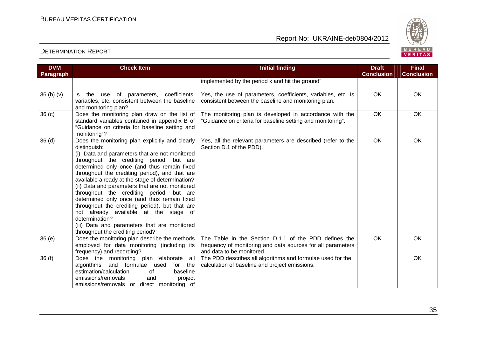

| <b>DVM</b><br>Paragraph | <b>Check Item</b>                                                                                                                                                                                                                                                                                                                                                                                                                                                                                                                                                                                                                                                 | <b>Initial finding</b>                                                                                                                            | <b>Draft</b><br><b>Conclusion</b> | <b>Final</b><br><b>Conclusion</b> |
|-------------------------|-------------------------------------------------------------------------------------------------------------------------------------------------------------------------------------------------------------------------------------------------------------------------------------------------------------------------------------------------------------------------------------------------------------------------------------------------------------------------------------------------------------------------------------------------------------------------------------------------------------------------------------------------------------------|---------------------------------------------------------------------------------------------------------------------------------------------------|-----------------------------------|-----------------------------------|
|                         |                                                                                                                                                                                                                                                                                                                                                                                                                                                                                                                                                                                                                                                                   | implemented by the period x and hit the ground"                                                                                                   |                                   |                                   |
| 36(b)(v)                | Is the use of parameters, coefficients,<br>variables, etc. consistent between the baseline<br>and monitoring plan?                                                                                                                                                                                                                                                                                                                                                                                                                                                                                                                                                | Yes, the use of parameters, coefficients, variables, etc. Is<br>consistent between the baseline and monitoring plan.                              | OK                                | OK                                |
| 36 <sub>(c)</sub>       | Does the monitoring plan draw on the list of<br>standard variables contained in appendix B of<br>"Guidance on criteria for baseline setting and<br>monitoring"?                                                                                                                                                                                                                                                                                                                                                                                                                                                                                                   | The monitoring plan is developed in accordance with the<br>"Guidance on criteria for baseline setting and monitoring".                            | $\overline{OK}$                   | $\overline{OK}$                   |
| 36 <sub>(d)</sub>       | Does the monitoring plan explicitly and clearly<br>distinguish:<br>(i) Data and parameters that are not monitored<br>throughout the crediting period, but are<br>determined only once (and thus remain fixed<br>throughout the crediting period), and that are<br>available already at the stage of determination?<br>(ii) Data and parameters that are not monitored<br>throughout the crediting period, but are<br>determined only once (and thus remain fixed<br>throughout the crediting period), but that are<br>not already available at the stage of<br>determination?<br>(iii) Data and parameters that are monitored<br>throughout the crediting period? | Yes, all the relevant parameters are described (refer to the<br>Section D.1 of the PDD).                                                          | <b>OK</b>                         | <b>OK</b>                         |
| 36(e)                   | Does the monitoring plan describe the methods<br>employed for data monitoring (including its<br>frequency) and recording?                                                                                                                                                                                                                                                                                                                                                                                                                                                                                                                                         | The Table in the Section D.1.1 of the PDD defines the<br>frequency of monitoring and data sources for all parameters<br>and data to be monitored. | OK                                | OK                                |
| 36(f)                   | Does the monitoring plan elaborate<br>all<br>algorithms and formulae used<br>for the<br>estimation/calculation<br>baseline<br>of<br>emissions/removals<br>project<br>and<br>emissions/removals or direct monitoring of                                                                                                                                                                                                                                                                                                                                                                                                                                            | The PDD describes all algorithms and formulae used for the<br>calculation of baseline and project emissions.                                      |                                   | OK                                |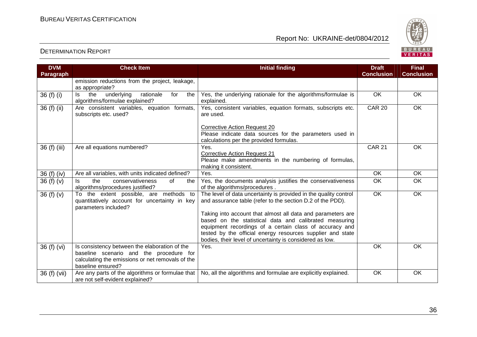

| <b>DVM</b>   | <b>Check Item</b>                                                                                                                                                 | <b>Initial finding</b>                                                                                                                                                                                                                                                                                                                                                                                                                       | <b>Draft</b>      | <b>Final</b>      |
|--------------|-------------------------------------------------------------------------------------------------------------------------------------------------------------------|----------------------------------------------------------------------------------------------------------------------------------------------------------------------------------------------------------------------------------------------------------------------------------------------------------------------------------------------------------------------------------------------------------------------------------------------|-------------------|-------------------|
| Paragraph    |                                                                                                                                                                   |                                                                                                                                                                                                                                                                                                                                                                                                                                              | <b>Conclusion</b> | <b>Conclusion</b> |
|              | emission reductions from the project, leakage,<br>as appropriate?                                                                                                 |                                                                                                                                                                                                                                                                                                                                                                                                                                              |                   |                   |
| 36(f)(i)     | rationale<br>the<br>underlying<br>for<br>the<br>ls.<br>algorithms/formulae explained?                                                                             | Yes, the underlying rationale for the algorithms/formulae is<br>explained.                                                                                                                                                                                                                                                                                                                                                                   | OK                | <b>OK</b>         |
| 36 (f) (ii)  | Are consistent variables, equation formats,<br>subscripts etc. used?                                                                                              | Yes, consistent variables, equation formats, subscripts etc.<br>are used.                                                                                                                                                                                                                                                                                                                                                                    | <b>CAR 20</b>     | OK                |
|              |                                                                                                                                                                   | <b>Corrective Action Request 20</b><br>Please indicate data sources for the parameters used in<br>calculations per the provided formulas.                                                                                                                                                                                                                                                                                                    |                   |                   |
| 36 (f) (iii) | Are all equations numbered?                                                                                                                                       | Yes.<br><b>Corrective Action Request 21</b><br>Please make amendments in the numbering of formulas,<br>making it consistent.                                                                                                                                                                                                                                                                                                                 | <b>CAR 21</b>     | OK                |
| 36 (f) (iv)  | Are all variables, with units indicated defined?                                                                                                                  | Yes.                                                                                                                                                                                                                                                                                                                                                                                                                                         | <b>OK</b>         | <b>OK</b>         |
| 36(f)(v)     | the<br>ls.<br>conservativeness<br>of<br>the<br>algorithms/procedures justified?                                                                                   | Yes, the documents analysis justifies the conservativeness<br>of the algorithms/procedures.                                                                                                                                                                                                                                                                                                                                                  | OK                | <b>OK</b>         |
| 36 $(f)(v)$  | To the extent possible, are methods to<br>quantitatively account for uncertainty in key<br>parameters included?                                                   | The level of data uncertainty is provided in the quality control<br>and assurance table (refer to the section D.2 of the PDD).<br>Taking into account that almost all data and parameters are<br>based on the statistical data and calibrated measuring<br>equipment recordings of a certain class of accuracy and<br>tested by the official energy resources supplier and state<br>bodies, their level of uncertainty is considered as low. | OK                | OK                |
| 36 (f) (vi)  | Is consistency between the elaboration of the<br>baseline scenario and the procedure for<br>calculating the emissions or net removals of the<br>baseline ensured? | Yes.                                                                                                                                                                                                                                                                                                                                                                                                                                         | OK                | OK                |
| 36 (f) (vii) | Are any parts of the algorithms or formulae that<br>are not self-evident explained?                                                                               | No, all the algorithms and formulae are explicitly explained.                                                                                                                                                                                                                                                                                                                                                                                | <b>OK</b>         | OK                |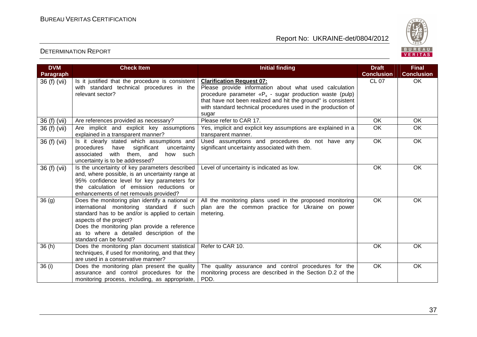

| <b>DVM</b>       | <b>Check Item</b>                                                                                 | <b>Initial finding</b>                                                                     | <b>Draft</b>      | <b>Final</b>      |
|------------------|---------------------------------------------------------------------------------------------------|--------------------------------------------------------------------------------------------|-------------------|-------------------|
| <b>Paragraph</b> |                                                                                                   |                                                                                            | <b>Conclusion</b> | <b>Conclusion</b> |
| 36 (f) (vii)     | Is it justified that the procedure is consistent<br>with standard technical procedures in the     | <b>Clarification Request 07:</b><br>Please provide information about what used calculation | <b>CL 07</b>      | OK                |
|                  | relevant sector?                                                                                  | procedure parameter ${}^R\!F_x$ - sugar production waste (pulp)                            |                   |                   |
|                  |                                                                                                   | that have not been realized and hit the ground" is consistent                              |                   |                   |
|                  |                                                                                                   | with standard technical procedures used in the production of                               |                   |                   |
|                  |                                                                                                   | sugar                                                                                      |                   |                   |
| 36 (f) (vii)     | Are references provided as necessary?                                                             | Please refer to CAR 17.                                                                    | OK                | OK                |
| 36 (f) (vii)     | Are implicit and explicit key assumptions<br>explained in a transparent manner?                   | Yes, implicit and explicit key assumptions are explained in a<br>transparent manner.       | OK                | OK                |
| 36 (f) (vii)     | Is it clearly stated which assumptions and                                                        | Used assumptions and procedures do not have any                                            | OK                | OK                |
|                  | have significant<br>procedures<br>uncertainty                                                     | significant uncertainty associated with them.                                              |                   |                   |
|                  | with them, and<br>associated<br>how such                                                          |                                                                                            |                   |                   |
|                  | uncertainty is to be addressed?                                                                   |                                                                                            |                   |                   |
| 36 (f) (vii)     | Is the uncertainty of key parameters described<br>and, where possible, is an uncertainty range at | Level of uncertainty is indicated as low.                                                  | OK                | OK                |
|                  | 95% confidence level for key parameters for                                                       |                                                                                            |                   |                   |
|                  | the calculation of emission reductions or                                                         |                                                                                            |                   |                   |
|                  | enhancements of net removals provided?                                                            |                                                                                            |                   |                   |
| 36(9)            | Does the monitoring plan identify a national or                                                   | All the monitoring plans used in the proposed monitoring                                   | OK                | OK                |
|                  | international monitoring standard if such                                                         | plan are the common practice for Ukraine on power                                          |                   |                   |
|                  | standard has to be and/or is applied to certain                                                   | metering.                                                                                  |                   |                   |
|                  | aspects of the project?                                                                           |                                                                                            |                   |                   |
|                  | Does the monitoring plan provide a reference                                                      |                                                                                            |                   |                   |
|                  | as to where a detailed description of the<br>standard can be found?                               |                                                                                            |                   |                   |
| 36(h)            | Does the monitoring plan document statistical                                                     | Refer to CAR 10.                                                                           | <b>OK</b>         | <b>OK</b>         |
|                  | techniques, if used for monitoring, and that they                                                 |                                                                                            |                   |                   |
|                  | are used in a conservative manner?                                                                |                                                                                            |                   |                   |
| 36(i)            | Does the monitoring plan present the quality                                                      | The quality assurance and control procedures for the                                       | <b>OK</b>         | OK                |
|                  | assurance and control procedures for the                                                          | monitoring process are described in the Section D.2 of the                                 |                   |                   |
|                  | monitoring process, including, as appropriate,                                                    | PDD.                                                                                       |                   |                   |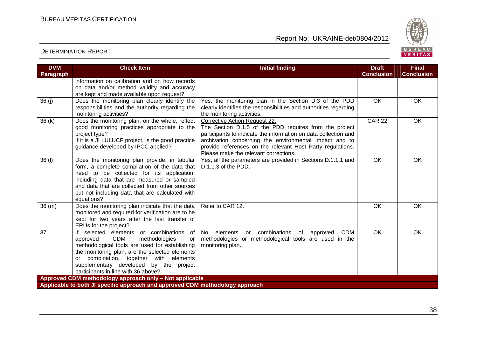

| <b>DVM</b><br><b>Paragraph</b> | <b>Check Item</b>                                                                                                                                                                                                                                                                                                                 | <b>Initial finding</b>                                                                                                                                                                                                                                                                                                             | <b>Draft</b><br><b>Conclusion</b> | <b>Final</b><br><b>Conclusion</b> |
|--------------------------------|-----------------------------------------------------------------------------------------------------------------------------------------------------------------------------------------------------------------------------------------------------------------------------------------------------------------------------------|------------------------------------------------------------------------------------------------------------------------------------------------------------------------------------------------------------------------------------------------------------------------------------------------------------------------------------|-----------------------------------|-----------------------------------|
|                                | information on calibration and on how records<br>on data and/or method validity and accuracy<br>are kept and made available upon request?                                                                                                                                                                                         |                                                                                                                                                                                                                                                                                                                                    |                                   |                                   |
| 36(j)                          | Does the monitoring plan clearly identify the<br>responsibilities and the authority regarding the<br>monitoring activities?                                                                                                                                                                                                       | Yes, the monitoring plan in the Section D.3 of the PDD<br>clearly identifies the responsibilities and authorities regarding<br>the monitoring activities.                                                                                                                                                                          | OK                                | OK                                |
| 36(k)                          | Does the monitoring plan, on the whole, reflect<br>good monitoring practices appropriate to the<br>project type?<br>If it is a JI LULUCF project, is the good practice<br>guidance developed by IPCC applied?                                                                                                                     | <b>Corrective Action Request 22:</b><br>The Section D.1.5 of the PDD requires from the project<br>participants to indicate the information on data collection and<br>archivation concerning the environmental impact and to<br>provide references on the relevant Host Party regulations.<br>Please make the relevant corrections. | <b>CAR 22</b>                     | $\overline{OK}$                   |
| 36 (I)                         | Does the monitoring plan provide, in tabular<br>form, a complete compilation of the data that<br>need to be collected for its application,<br>including data that are measured or sampled<br>and data that are collected from other sources<br>but not including data that are calculated with<br>equations?                      | Yes, all the parameters are provided in Sections D.1.1.1 and<br>D.1.1.3 of the PDD.                                                                                                                                                                                                                                                | OK                                | OK                                |
| 36(m)                          | Does the monitoring plan indicate that the data<br>monitored and required for verification are to be<br>kept for two years after the last transfer of<br>ERUs for the project?                                                                                                                                                    | Refer to CAR 12.                                                                                                                                                                                                                                                                                                                   | <b>OK</b>                         | <b>OK</b>                         |
| 37                             | If selected elements or combinations<br>of<br><b>CDM</b><br>approved<br>methodologies<br><b>or</b><br>methodological tools are used for establishing<br>the monitoring plan, are the selected elements<br>or combination, together with elements<br>supplementary developed by the project<br>participants in line with 36 above? | or combinations<br>of<br><b>CDM</b><br>No<br>elements<br>approved<br>methodologies or methodological tools are used in the<br>monitoring plan.                                                                                                                                                                                     | OK                                | <b>OK</b>                         |
|                                | Approved CDM methodology approach only - Not applicable<br>Applicable to both JI specific approach and approved CDM methodology approach                                                                                                                                                                                          |                                                                                                                                                                                                                                                                                                                                    |                                   |                                   |
|                                |                                                                                                                                                                                                                                                                                                                                   |                                                                                                                                                                                                                                                                                                                                    |                                   |                                   |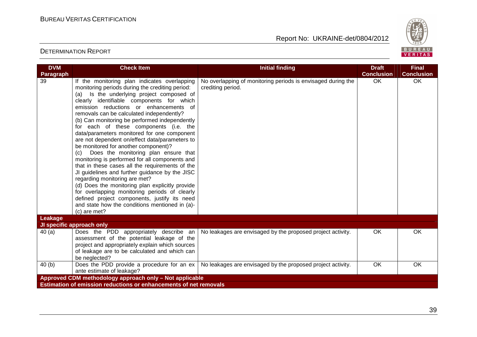

| <b>DVM</b>      | <b>Check Item</b>                                                                                                                                                                                                                                                                                                                                                                                                                                                                                                                                                                                                                                                                                                                                                                                                                                                                                                                                                                   | <b>Initial finding</b>                                                            | <b>Draft</b>      | <b>Final</b>      |
|-----------------|-------------------------------------------------------------------------------------------------------------------------------------------------------------------------------------------------------------------------------------------------------------------------------------------------------------------------------------------------------------------------------------------------------------------------------------------------------------------------------------------------------------------------------------------------------------------------------------------------------------------------------------------------------------------------------------------------------------------------------------------------------------------------------------------------------------------------------------------------------------------------------------------------------------------------------------------------------------------------------------|-----------------------------------------------------------------------------------|-------------------|-------------------|
| Paragraph       |                                                                                                                                                                                                                                                                                                                                                                                                                                                                                                                                                                                                                                                                                                                                                                                                                                                                                                                                                                                     |                                                                                   | <b>Conclusion</b> | <b>Conclusion</b> |
| $\overline{39}$ | If the monitoring plan indicates overlapping<br>monitoring periods during the crediting period:<br>Is the underlying project composed of<br>(a)<br>clearly identifiable components for which<br>emission reductions or enhancements of<br>removals can be calculated independently?<br>(b) Can monitoring be performed independently<br>for each of these components (i.e. the<br>data/parameters monitored for one component<br>are not dependent on/effect data/parameters to<br>be monitored for another component)?<br>(c) Does the monitoring plan ensure that<br>monitoring is performed for all components and<br>that in these cases all the requirements of the<br>JI guidelines and further guidance by the JISC<br>regarding monitoring are met?<br>(d) Does the monitoring plan explicitly provide<br>for overlapping monitoring periods of clearly<br>defined project components, justify its need<br>and state how the conditions mentioned in (a)-<br>$(c)$ are met? | No overlapping of monitoring periods is envisaged during the<br>crediting period. | OK                | OK                |
| Leakage         | JI specific approach only                                                                                                                                                                                                                                                                                                                                                                                                                                                                                                                                                                                                                                                                                                                                                                                                                                                                                                                                                           |                                                                                   |                   |                   |
|                 |                                                                                                                                                                                                                                                                                                                                                                                                                                                                                                                                                                                                                                                                                                                                                                                                                                                                                                                                                                                     |                                                                                   |                   |                   |
| 40(a)           | Does the PDD appropriately describe an<br>assessment of the potential leakage of the<br>project and appropriately explain which sources<br>of leakage are to be calculated and which can<br>be neglected?                                                                                                                                                                                                                                                                                                                                                                                                                                                                                                                                                                                                                                                                                                                                                                           | No leakages are envisaged by the proposed project activity.                       | OK                | OK                |
| 40(b)           | Does the PDD provide a procedure for an ex<br>ante estimate of leakage?                                                                                                                                                                                                                                                                                                                                                                                                                                                                                                                                                                                                                                                                                                                                                                                                                                                                                                             | No leakages are envisaged by the proposed project activity.                       | OK                | OK                |
|                 | Approved CDM methodology approach only - Not applicable                                                                                                                                                                                                                                                                                                                                                                                                                                                                                                                                                                                                                                                                                                                                                                                                                                                                                                                             |                                                                                   |                   |                   |
|                 | Estimation of emission reductions or enhancements of net removals                                                                                                                                                                                                                                                                                                                                                                                                                                                                                                                                                                                                                                                                                                                                                                                                                                                                                                                   |                                                                                   |                   |                   |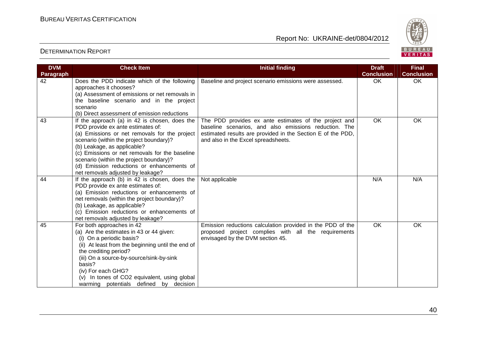

| <b>DVM</b><br>Paragraph | <b>Check Item</b>                                                                                                                                                                                                                                                                                                                                                                             | <b>Initial finding</b>                                                                                                                                                                                               | <b>Draft</b><br><b>Conclusion</b> | <b>Final</b><br><b>Conclusion</b> |
|-------------------------|-----------------------------------------------------------------------------------------------------------------------------------------------------------------------------------------------------------------------------------------------------------------------------------------------------------------------------------------------------------------------------------------------|----------------------------------------------------------------------------------------------------------------------------------------------------------------------------------------------------------------------|-----------------------------------|-----------------------------------|
| 42                      | Does the PDD indicate which of the following<br>approaches it chooses?<br>(a) Assessment of emissions or net removals in<br>the baseline scenario and in the project<br>scenario<br>(b) Direct assessment of emission reductions                                                                                                                                                              | Baseline and project scenario emissions were assessed.                                                                                                                                                               | <b>OK</b>                         | OK                                |
| 43                      | If the approach (a) in 42 is chosen, does the<br>PDD provide ex ante estimates of:<br>(a) Emissions or net removals for the project<br>scenario (within the project boundary)?<br>(b) Leakage, as applicable?<br>(c) Emissions or net removals for the baseline<br>scenario (within the project boundary)?<br>(d) Emission reductions or enhancements of<br>net removals adjusted by leakage? | The PDD provides ex ante estimates of the project and<br>baseline scenarios, and also emissions reduction. The<br>estimated results are provided in the Section E of the PDD,<br>and also in the Excel spreadsheets. | <b>OK</b>                         | OK                                |
| 44                      | If the approach (b) in 42 is chosen, does the<br>PDD provide ex ante estimates of:<br>(a) Emission reductions or enhancements of<br>net removals (within the project boundary)?<br>(b) Leakage, as applicable?<br>(c) Emission reductions or enhancements of<br>net removals adjusted by leakage?                                                                                             | Not applicable                                                                                                                                                                                                       | N/A                               | N/A                               |
| 45                      | For both approaches in 42<br>(a) Are the estimates in 43 or 44 given:<br>(i) On a periodic basis?<br>(ii) At least from the beginning until the end of<br>the crediting period?<br>(iii) On a source-by-source/sink-by-sink<br>basis?<br>(iv) For each GHG?<br>(v) In tones of CO2 equivalent, using global<br>warming potentials defined by decision                                         | Emission reductions calculation provided in the PDD of the<br>proposed project complies with all the requirements<br>envisaged by the DVM section 45.                                                                | $\overline{OK}$                   | OK                                |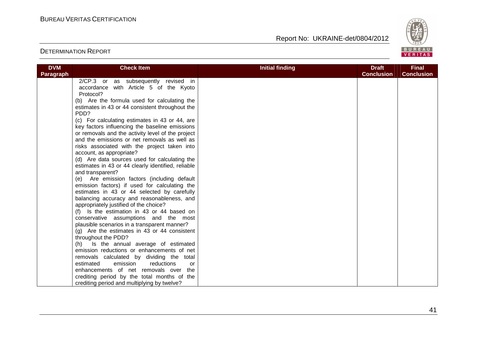

| <b>DVM</b> | <b>Check Item</b>                                                                    | <b>Initial finding</b> | <b>Draft</b>      | <b>Final</b>      |
|------------|--------------------------------------------------------------------------------------|------------------------|-------------------|-------------------|
| Paragraph  |                                                                                      |                        | <b>Conclusion</b> | <b>Conclusion</b> |
|            | 2/CP.3 or as subsequently revised in                                                 |                        |                   |                   |
|            | accordance with Article 5 of the Kyoto                                               |                        |                   |                   |
|            | Protocol?                                                                            |                        |                   |                   |
|            | (b) Are the formula used for calculating the                                         |                        |                   |                   |
|            | estimates in 43 or 44 consistent throughout the                                      |                        |                   |                   |
|            | PDD?                                                                                 |                        |                   |                   |
|            | (c) For calculating estimates in 43 or 44, are                                       |                        |                   |                   |
|            | key factors influencing the baseline emissions                                       |                        |                   |                   |
|            | or removals and the activity level of the project                                    |                        |                   |                   |
|            | and the emissions or net removals as well as                                         |                        |                   |                   |
|            | risks associated with the project taken into                                         |                        |                   |                   |
|            | account, as appropriate?                                                             |                        |                   |                   |
|            | (d) Are data sources used for calculating the                                        |                        |                   |                   |
|            | estimates in 43 or 44 clearly identified, reliable                                   |                        |                   |                   |
|            | and transparent?                                                                     |                        |                   |                   |
|            | (e) Are emission factors (including default                                          |                        |                   |                   |
|            | emission factors) if used for calculating the                                        |                        |                   |                   |
|            | estimates in 43 or 44 selected by carefully                                          |                        |                   |                   |
|            | balancing accuracy and reasonableness, and                                           |                        |                   |                   |
|            | appropriately justified of the choice?                                               |                        |                   |                   |
|            | (f) Is the estimation in 43 or 44 based on                                           |                        |                   |                   |
|            | conservative assumptions and the most                                                |                        |                   |                   |
|            | plausible scenarios in a transparent manner?                                         |                        |                   |                   |
|            | $(g)$ Are the estimates in 43 or 44 consistent                                       |                        |                   |                   |
|            | throughout the PDD?                                                                  |                        |                   |                   |
|            | (h) Is the annual average of estimated<br>emission reductions or enhancements of net |                        |                   |                   |
|            | removals calculated by dividing the total                                            |                        |                   |                   |
|            | emission<br>estimated<br>reductions<br>or                                            |                        |                   |                   |
|            | enhancements of net removals over the                                                |                        |                   |                   |
|            | crediting period by the total months of the                                          |                        |                   |                   |
|            | crediting period and multiplying by twelve?                                          |                        |                   |                   |
|            |                                                                                      |                        |                   |                   |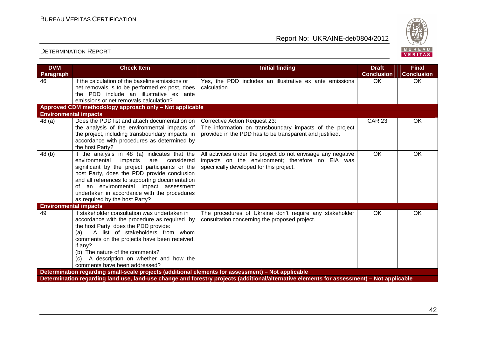

| <b>DVM</b><br><b>Paragraph</b> | <b>Check Item</b>                                                                                                                                                                                                                                                                                                                                                           | <b>Initial finding</b>                                                                                                                                        | <b>Draft</b><br><b>Conclusion</b> | <b>Final</b><br><b>Conclusion</b> |
|--------------------------------|-----------------------------------------------------------------------------------------------------------------------------------------------------------------------------------------------------------------------------------------------------------------------------------------------------------------------------------------------------------------------------|---------------------------------------------------------------------------------------------------------------------------------------------------------------|-----------------------------------|-----------------------------------|
| 46                             | If the calculation of the baseline emissions or<br>net removals is to be performed ex post, does<br>the PDD include an illustrative ex ante<br>emissions or net removals calculation?                                                                                                                                                                                       | Yes, the PDD includes an illustrative ex ante emissions<br>calculation.                                                                                       | <b>OK</b>                         | OK                                |
|                                | Approved CDM methodology approach only - Not applicable                                                                                                                                                                                                                                                                                                                     |                                                                                                                                                               |                                   |                                   |
| <b>Environmental impacts</b>   |                                                                                                                                                                                                                                                                                                                                                                             |                                                                                                                                                               |                                   |                                   |
| 48(a)                          | Does the PDD list and attach documentation on<br>the analysis of the environmental impacts of<br>the project, including transboundary impacts, in<br>accordance with procedures as determined by<br>the host Party?                                                                                                                                                         | <b>Corrective Action Request 23:</b><br>The information on transboundary impacts of the project<br>provided in the PDD has to be transparent and justified.   | <b>CAR 23</b>                     | OK                                |
| 48(b)                          | If the analysis in 48 (a) indicates that the<br>environmental<br>impacts<br>considered<br>are<br>significant by the project participants or the<br>host Party, does the PDD provide conclusion<br>and all references to supporting documentation<br>of an environmental impact assessment<br>undertaken in accordance with the procedures<br>as required by the host Party? | All activities under the project do not envisage any negative<br>impacts on the environment; therefore no EIA was<br>specifically developed for this project. | <b>OK</b>                         | OK                                |
| <b>Environmental impacts</b>   |                                                                                                                                                                                                                                                                                                                                                                             |                                                                                                                                                               |                                   |                                   |
| 49                             | If stakeholder consultation was undertaken in<br>accordance with the procedure as required by<br>the host Party, does the PDD provide:<br>A list of stakeholders from whom<br>(a)<br>comments on the projects have been received,<br>if any?<br>(b) The nature of the comments?<br>A description on whether and how the<br>(C)<br>comments have been addressed?             | The procedures of Ukraine don't require any stakeholder<br>consultation concerning the proposed project.                                                      | OK.                               | OK                                |
|                                | Determination regarding small-scale projects (additional elements for assessment) - Not applicable                                                                                                                                                                                                                                                                          |                                                                                                                                                               |                                   |                                   |
|                                |                                                                                                                                                                                                                                                                                                                                                                             | Determination regarding land use, land-use change and forestry projects (additional/alternative elements for assessment) - Not applicable                     |                                   |                                   |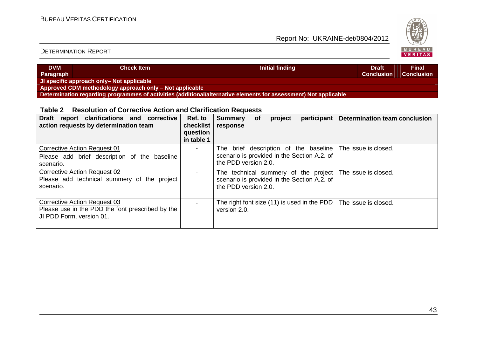

#### DETERMINATION REPORT

| <b>DVM</b><br>Paragraph                                 | <b>Check Item</b>                                                                                                | Initial finding | 'Draft.<br><b>Conclusion</b> | <b>Final</b><br><b>Conclusion</b> |  |  |  |
|---------------------------------------------------------|------------------------------------------------------------------------------------------------------------------|-----------------|------------------------------|-----------------------------------|--|--|--|
| JI specific approach only- Not applicable               |                                                                                                                  |                 |                              |                                   |  |  |  |
| Approved CDM methodology approach only - Not applicable |                                                                                                                  |                 |                              |                                   |  |  |  |
|                                                         | Determination regarding programmes of activities (additional/alternative elements for assessment) Not applicable |                 |                              |                                   |  |  |  |

#### **Table 2 Resolution of Corrective Action and Clarification Requests**

| Draft report clarifications and corrective<br>action requests by determination team                          | Ref. to<br>checklist<br>question<br>in table 1 | participant<br><b>Summary</b><br>project<br>0f<br>response                                                                       | <b>Determination team conclusion</b> |
|--------------------------------------------------------------------------------------------------------------|------------------------------------------------|----------------------------------------------------------------------------------------------------------------------------------|--------------------------------------|
| Corrective Action Request 01<br>Please add brief description of the baseline<br>scenario.                    |                                                | brief description of the baseline<br>⊤he<br>scenario is provided in the Section A.2. of<br>the PDD version 2.0.                  | The issue is closed.                 |
| <b>Corrective Action Request 02</b><br>Please add technical summery of the project<br>scenario.              |                                                | The technical summery of the project The issue is closed.<br>scenario is provided in the Section A.2. of<br>the PDD version 2.0. |                                      |
| Corrective Action Request 03<br>Please use in the PDD the font prescribed by the<br>JI PDD Form, version 01. |                                                | The right font size (11) is used in the PDD<br>version 2.0.                                                                      | The issue is closed.                 |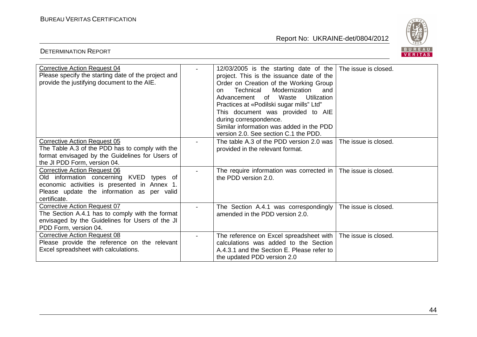DETERMINATION REPORT

Report No: UKRAINE-det/0804/2012



| <b>Corrective Action Request 04</b><br>Please specify the starting date of the project and<br>provide the justifying document to the AIE.                                                     | 12/03/2005 is the starting date of the<br>project. This is the issuance date of the<br>Order on Creation of the Working Group<br>Technical<br>Modernization<br>and<br>on.<br>Utilization<br>Advancement of Waste<br>Practices at «Podilski sugar mills" Ltd"<br>This document was provided to AIE<br>during correspondence.<br>Similar information was added in the PDD<br>version 2.0. See section C.1 the PDD. | The issue is closed. |
|-----------------------------------------------------------------------------------------------------------------------------------------------------------------------------------------------|------------------------------------------------------------------------------------------------------------------------------------------------------------------------------------------------------------------------------------------------------------------------------------------------------------------------------------------------------------------------------------------------------------------|----------------------|
| <b>Corrective Action Request 05</b><br>The Table A.3 of the PDD has to comply with the<br>format envisaged by the Guidelines for Users of<br>the JI PDD Form, version 04.                     | The table A.3 of the PDD version 2.0 was<br>provided in the relevant format.                                                                                                                                                                                                                                                                                                                                     | The issue is closed. |
| <b>Corrective Action Request 06</b><br>Old information concerning KVED types of<br>economic activities is presented in Annex 1.<br>Please update the information as per valid<br>certificate. | The require information was corrected in  <br>the PDD version 2.0.                                                                                                                                                                                                                                                                                                                                               | The issue is closed. |
| <b>Corrective Action Request 07</b><br>The Section A.4.1 has to comply with the format<br>envisaged by the Guidelines for Users of the JI<br>PDD Form, version 04.                            | The Section A.4.1 was correspondingly<br>amended in the PDD version 2.0.                                                                                                                                                                                                                                                                                                                                         | The issue is closed. |
| <b>Corrective Action Request 08</b><br>Please provide the reference on the relevant<br>Excel spreadsheet with calculations.                                                                   | The reference on Excel spreadsheet with<br>calculations was added to the Section<br>A.4.3.1 and the Section E. Please refer to<br>the updated PDD version 2.0                                                                                                                                                                                                                                                    | The issue is closed. |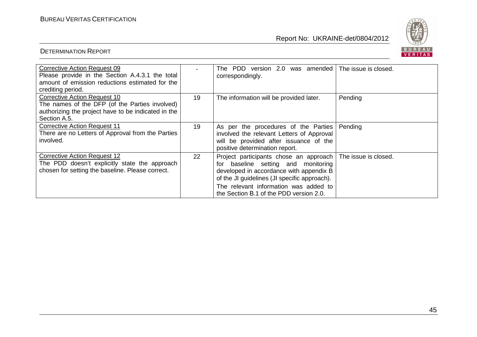

| <b>Corrective Action Request 09</b>                 |    | The PDD version 2.0 was amended The issue is closed. |                      |
|-----------------------------------------------------|----|------------------------------------------------------|----------------------|
| Please provide in the Section A.4.3.1 the total     |    | correspondingly.                                     |                      |
| amount of emission reductions estimated for the     |    |                                                      |                      |
| crediting period.                                   |    |                                                      |                      |
| <b>Corrective Action Request 10</b>                 | 19 | The information will be provided later.              | Pending              |
| The names of the DFP (of the Parties involved)      |    |                                                      |                      |
| authorizing the project have to be indicated in the |    |                                                      |                      |
| Section A.5.                                        |    |                                                      |                      |
| <b>Corrective Action Request 11</b>                 |    |                                                      |                      |
|                                                     | 19 | As per the procedures of the Parties                 | Pending              |
| There are no Letters of Approval from the Parties   |    | involved the relevant Letters of Approval            |                      |
| involved.                                           |    | will be provided after issuance of the               |                      |
|                                                     |    | positive determination report.                       |                      |
| <b>Corrective Action Request 12</b>                 | 22 | Project participants chose an approach               | The issue is closed. |
| The PDD doesn't explicitly state the approach       |    | baseline setting and monitoring<br>for               |                      |
| chosen for setting the baseline. Please correct.    |    | developed in accordance with appendix B              |                      |
|                                                     |    | of the JI guidelines (JI specific approach).         |                      |
|                                                     |    |                                                      |                      |
|                                                     |    | The relevant information was added to                |                      |
|                                                     |    | the Section B.1 of the PDD version 2.0.              |                      |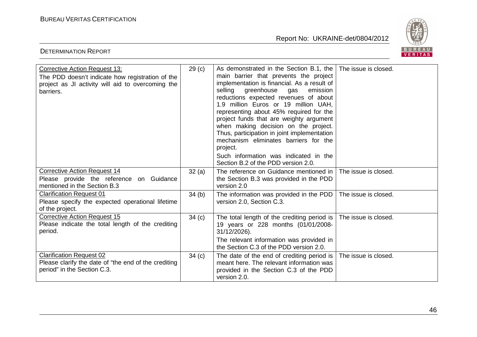DETERMINATION REPORT

Report No: UKRAINE-det/0804/2012



| <b>Corrective Action Request 13:</b><br>The PDD doesn't indicate how registration of the<br>project as JI activity will aid to overcoming the<br>barriers. | 29 <sub>(c)</sub> | As demonstrated in the Section B.1, the<br>main barrier that prevents the project<br>implementation is financial. As a result of<br>greenhouse<br>selling<br>emission<br>gas<br>reductions expected revenues of about<br>1.9 million Euros or 19 million UAH,<br>representing about 45% required for the<br>project funds that are weighty argument<br>when making decision on the project.<br>Thus, participation in joint implementation<br>mechanism eliminates barriers for the<br>project.<br>Such information was indicated in the<br>Section B.2 of the PDD version 2.0. | The issue is closed. |
|------------------------------------------------------------------------------------------------------------------------------------------------------------|-------------------|---------------------------------------------------------------------------------------------------------------------------------------------------------------------------------------------------------------------------------------------------------------------------------------------------------------------------------------------------------------------------------------------------------------------------------------------------------------------------------------------------------------------------------------------------------------------------------|----------------------|
| <b>Corrective Action Request 14</b><br>Please provide the reference on Guidance<br>mentioned in the Section B.3                                            | 32(a)             | The reference on Guidance mentioned in<br>the Section B.3 was provided in the PDD<br>version 2.0                                                                                                                                                                                                                                                                                                                                                                                                                                                                                | The issue is closed. |
| <b>Clarification Request 01</b><br>Please specify the expected operational lifetime<br>of the project.                                                     | 34(b)             | The information was provided in the PDD<br>version 2.0, Section C.3.                                                                                                                                                                                                                                                                                                                                                                                                                                                                                                            | The issue is closed. |
| <b>Corrective Action Request 15</b><br>Please indicate the total length of the crediting<br>period.                                                        | 34(c)             | The total length of the crediting period is $ $<br>19 years or 228 months (01/01/2008-<br>31/12/2026).<br>The relevant information was provided in<br>the Section C.3 of the PDD version 2.0.                                                                                                                                                                                                                                                                                                                                                                                   | The issue is closed. |
| <b>Clarification Request 02</b><br>Please clarify the date of "the end of the crediting<br>period" in the Section C.3.                                     | 34(c)             | The date of the end of crediting period is $ $<br>meant here. The relevant information was<br>provided in the Section C.3 of the PDD<br>version 2.0.                                                                                                                                                                                                                                                                                                                                                                                                                            | The issue is closed. |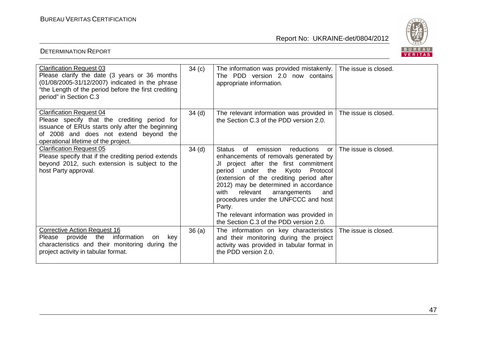

| <b>Clarification Request 03</b><br>Please clarify the date (3 years or 36 months<br>(01/08/2005-31/12/2007) indicated in the phrase<br>"the Length of the period before the first crediting<br>period" in Section C.3 | 34 <sub>(c)</sub> | The information was provided mistakenly.<br>The PDD version 2.0 now contains<br>appropriate information.                                                                                                                                                                                                                                                                                                                                               | The issue is closed. |
|-----------------------------------------------------------------------------------------------------------------------------------------------------------------------------------------------------------------------|-------------------|--------------------------------------------------------------------------------------------------------------------------------------------------------------------------------------------------------------------------------------------------------------------------------------------------------------------------------------------------------------------------------------------------------------------------------------------------------|----------------------|
| <b>Clarification Request 04</b><br>Please specify that the crediting period for<br>issuance of ERUs starts only after the beginning<br>of 2008 and does not extend beyond the<br>operational lifetime of the project. | 34 <sub>(d)</sub> | The relevant information was provided in<br>the Section C.3 of the PDD version 2.0.                                                                                                                                                                                                                                                                                                                                                                    | The issue is closed. |
| <b>Clarification Request 05</b><br>Please specify that if the crediting period extends<br>beyond 2012, such extension is subject to the<br>host Party approval.                                                       | 34 <sub>(d)</sub> | emission<br>reductions<br><b>Status</b><br>of<br>or I<br>enhancements of removals generated by<br>JI project after the first commitment<br>Kyoto Protocol<br>period under the<br>(extension of the crediting period after<br>2012) may be determined in accordance<br>with<br>relevant<br>arrangements<br>and<br>procedures under the UNFCCC and host<br>Party.<br>The relevant information was provided in<br>the Section C.3 of the PDD version 2.0. | The issue is closed. |
| <b>Corrective Action Request 16</b><br>provide<br>the<br>information<br>kev<br>Please<br>on<br>characteristics and their monitoring during the<br>project activity in tabular format.                                 | 36(a)             | The information on key characteristics   The issue is closed.<br>and their monitoring during the project<br>activity was provided in tabular format in<br>the PDD version 2.0.                                                                                                                                                                                                                                                                         |                      |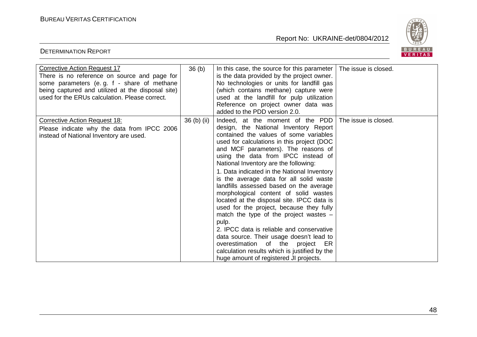

| <b>Corrective Action Request 17</b><br>There is no reference on source and page for<br>some parameters (e.g. f - share of methane<br>being captured and utilized at the disposal site)<br>used for the ERUs calculation. Please correct. | 36 <sub>(b)</sub> | In this case, the source for this parameter $\vert$<br>is the data provided by the project owner.<br>No technologies or units for landfill gas<br>(which contains methane) capture were<br>used at the landfill for pulp utilization<br>Reference on project owner data was<br>added to the PDD version 2.0.                                                                                                                                                                                                                                                                                                                                                                                                                                                                                                                                  | The issue is closed. |
|------------------------------------------------------------------------------------------------------------------------------------------------------------------------------------------------------------------------------------------|-------------------|-----------------------------------------------------------------------------------------------------------------------------------------------------------------------------------------------------------------------------------------------------------------------------------------------------------------------------------------------------------------------------------------------------------------------------------------------------------------------------------------------------------------------------------------------------------------------------------------------------------------------------------------------------------------------------------------------------------------------------------------------------------------------------------------------------------------------------------------------|----------------------|
| <b>Corrective Action Request 18:</b><br>Please indicate why the data from IPCC 2006<br>instead of National Inventory are used.                                                                                                           | 36 (b) (ii)       | Indeed, at the moment of the PDD<br>design, the National Inventory Report<br>contained the values of some variables<br>used for calculations in this project (DOC<br>and MCF parameters). The reasons of<br>using the data from IPCC instead of<br>National Inventory are the following:<br>1. Data indicated in the National Inventory<br>is the average data for all solid waste<br>landfills assessed based on the average<br>morphological content of solid wastes<br>located at the disposal site. IPCC data is<br>used for the project, because they fully<br>match the type of the project wastes $-$<br>pulp.<br>2. IPCC data is reliable and conservative<br>data source. Their usage doesn't lead to<br>overestimation of the project ER<br>calculation results which is justified by the<br>huge amount of registered JI projects. | The issue is closed. |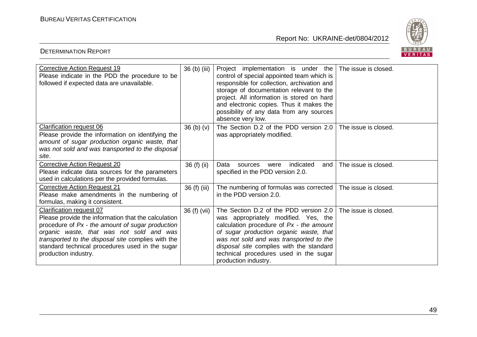

| <b>Corrective Action Request 19</b><br>Please indicate in the PDD the procedure to be<br>followed if expected data are unavailable.                                                                                                                                                                              | 36 (b) (iii)                     | Project implementation is under the   The issue is closed.<br>control of special appointed team which is<br>responsible for collection, archivation and<br>storage of documentation relevant to the<br>project. All information is stored on hard<br>and electronic copies. Thus it makes the<br>possibility of any data from any sources<br>absence very low. |                      |
|------------------------------------------------------------------------------------------------------------------------------------------------------------------------------------------------------------------------------------------------------------------------------------------------------------------|----------------------------------|----------------------------------------------------------------------------------------------------------------------------------------------------------------------------------------------------------------------------------------------------------------------------------------------------------------------------------------------------------------|----------------------|
| <b>Clarification request 06</b><br>Please provide the information on identifying the<br>amount of sugar production organic waste, that<br>was not sold and was transported to the disposal<br>site.                                                                                                              | 36 <sub>(b)</sub> <sub>(v)</sub> | The Section D.2 of the PDD version 2.0<br>was appropriately modified.                                                                                                                                                                                                                                                                                          | The issue is closed. |
| <b>Corrective Action Request 20</b><br>Please indicate data sources for the parameters<br>used in calculations per the provided formulas.                                                                                                                                                                        | 36 (f) (ii)                      | indicated<br>Data<br>and I<br>sources<br>were<br>specified in the PDD version 2.0.                                                                                                                                                                                                                                                                             | The issue is closed. |
| <b>Corrective Action Request 21</b><br>Please make amendments in the numbering of<br>formulas, making it consistent.                                                                                                                                                                                             | 36 (f) (iii)                     | The numbering of formulas was corrected<br>in the PDD version 2.0.                                                                                                                                                                                                                                                                                             | The issue is closed. |
| Clarification request 07<br>Please provide the information that the calculation<br>procedure of Px - the amount of sugar production<br>organic waste, that was not sold and was<br>transported to the disposal site complies with the<br>standard technical procedures used in the sugar<br>production industry. | 36 (f) (vii)                     | The Section D.2 of the PDD version 2.0<br>was appropriately modified. Yes, the<br>calculation procedure of $Px -$ the amount<br>of sugar production organic waste, that<br>was not sold and was transported to the<br>disposal site complies with the standard<br>technical procedures used in the sugar<br>production industry.                               | The issue is closed. |